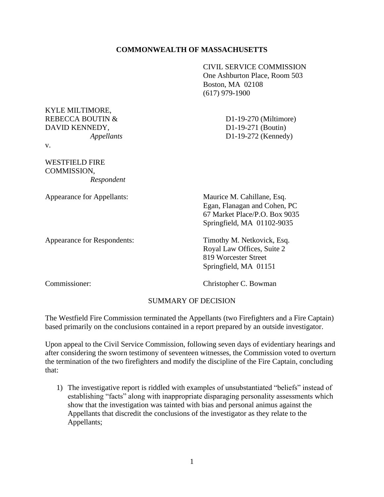# **COMMONWEALTH OF MASSACHUSETTS**

CIVIL SERVICE COMMISSION One Ashburton Place, Room 503 Boston, MA 02108 (617) 979-1900

KYLE MILTIMORE, REBECCA BOUTIN & D1-19-270 (Miltimore) DAVID KENNEDY, D1-19-271 (Boutin)

v.

WESTFIELD FIRE COMMISSION, *Respondent*

Appearance for Respondents: Timothy M. Netkovick, Esq.

*Appellants* D1-19-272 (Kennedy)

Appearance for Appellants: Maurice M. Cahillane, Esq. Egan, Flanagan and Cohen, PC 67 Market Place/P.O. Box 9035 Springfield, MA 01102-9035

> Royal Law Offices, Suite 2 819 Worcester Street Springfield, MA 01151

Commissioner: Christopher C. Bowman

# SUMMARY OF DECISION

The Westfield Fire Commission terminated the Appellants (two Firefighters and a Fire Captain) based primarily on the conclusions contained in a report prepared by an outside investigator.

Upon appeal to the Civil Service Commission, following seven days of evidentiary hearings and after considering the sworn testimony of seventeen witnesses, the Commission voted to overturn the termination of the two firefighters and modify the discipline of the Fire Captain, concluding that:

1) The investigative report is riddled with examples of unsubstantiated "beliefs" instead of establishing "facts" along with inappropriate disparaging personality assessments which show that the investigation was tainted with bias and personal animus against the Appellants that discredit the conclusions of the investigator as they relate to the Appellants;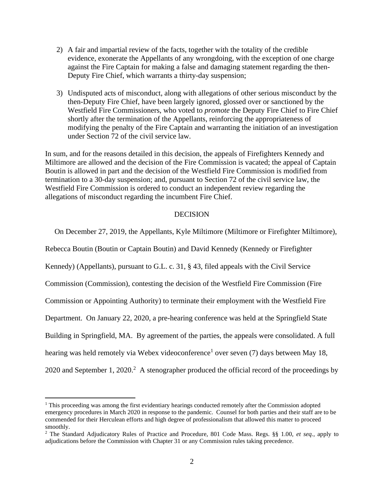- 2) A fair and impartial review of the facts, together with the totality of the credible evidence, exonerate the Appellants of any wrongdoing, with the exception of one charge against the Fire Captain for making a false and damaging statement regarding the then-Deputy Fire Chief, which warrants a thirty-day suspension;
- 3) Undisputed acts of misconduct, along with allegations of other serious misconduct by the then-Deputy Fire Chief, have been largely ignored, glossed over or sanctioned by the Westfield Fire Commissioners, who voted to *promote* the Deputy Fire Chief to Fire Chief shortly after the termination of the Appellants, reinforcing the appropriateness of modifying the penalty of the Fire Captain and warranting the initiation of an investigation under Section 72 of the civil service law.

In sum, and for the reasons detailed in this decision, the appeals of Firefighters Kennedy and Miltimore are allowed and the decision of the Fire Commission is vacated; the appeal of Captain Boutin is allowed in part and the decision of the Westfield Fire Commission is modified from termination to a 30-day suspension; and, pursuant to Section 72 of the civil service law, the Westfield Fire Commission is ordered to conduct an independent review regarding the allegations of misconduct regarding the incumbent Fire Chief.

### DECISION

On December 27, 2019, the Appellants, Kyle Miltimore (Miltimore or Firefighter Miltimore),

Rebecca Boutin (Boutin or Captain Boutin) and David Kennedy (Kennedy or Firefighter Kennedy) (Appellants), pursuant to G.L. c. 31, § 43, filed appeals with the Civil Service Commission (Commission), contesting the decision of the Westfield Fire Commission (Fire Commission or Appointing Authority) to terminate their employment with the Westfield Fire Department. On January 22, 2020, a pre-hearing conference was held at the Springfield State Building in Springfield, MA. By agreement of the parties, the appeals were consolidated. A full hearing was held remotely via Webex videoconference<sup>1</sup> over seven (7) days between May 18, 2020 and September 1, 2020.<sup>2</sup> A stenographer produced the official record of the proceedings by

 $1$ . This proceeding was among the first evidentiary hearings conducted remotely after the Commission adopted emergency procedures in March 2020 in response to the pandemic. Counsel for both parties and their staff are to be commended for their Herculean efforts and high degree of professionalism that allowed this matter to proceed smoothly.

<sup>2</sup> The Standard Adjudicatory Rules of Practice and Procedure, 801 Code Mass. Regs. §§ 1.00, *et seq.*, apply to adjudications before the Commission with Chapter 31 or any Commission rules taking precedence.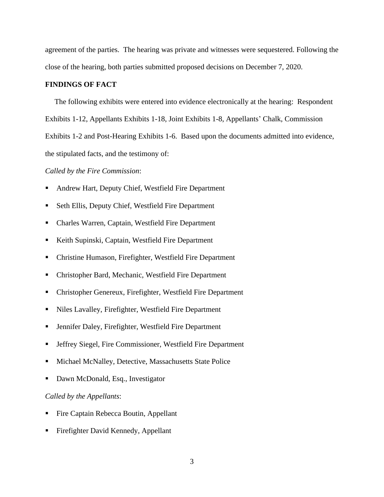agreement of the parties. The hearing was private and witnesses were sequestered. Following the close of the hearing, both parties submitted proposed decisions on December 7, 2020.

#### **FINDINGS OF FACT**

 The following exhibits were entered into evidence electronically at the hearing: Respondent Exhibits 1-12, Appellants Exhibits 1-18, Joint Exhibits 1-8, Appellants' Chalk, Commission Exhibits 1-2 and Post-Hearing Exhibits 1-6. Based upon the documents admitted into evidence, the stipulated facts, and the testimony of:

#### *Called by the Fire Commission*:

- Andrew Hart, Deputy Chief, Westfield Fire Department
- Seth Ellis, Deputy Chief, Westfield Fire Department
- Charles Warren, Captain, Westfield Fire Department
- Keith Supinski, Captain, Westfield Fire Department
- Christine Humason, Firefighter, Westfield Fire Department
- Christopher Bard, Mechanic, Westfield Fire Department
- Christopher Genereux, Firefighter, Westfield Fire Department
- Niles Lavalley, Firefighter, Westfield Fire Department
- Jennifer Daley, Firefighter, Westfield Fire Department
- Jeffrey Siegel, Fire Commissioner, Westfield Fire Department
- Michael McNalley, Detective, Massachusetts State Police
- Dawn McDonald, Esq., Investigator

#### *Called by the Appellants*:

- Fire Captain Rebecca Boutin, Appellant
- Firefighter David Kennedy, Appellant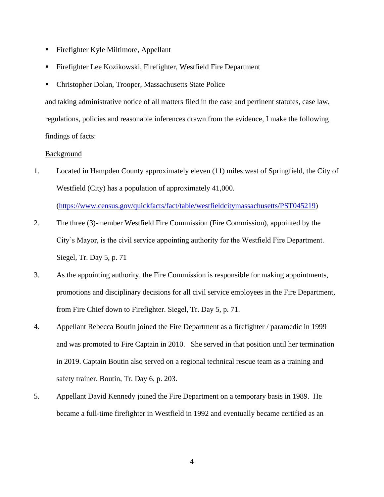- Firefighter Kyle Miltimore, Appellant
- Firefighter Lee Kozikowski, Firefighter, Westfield Fire Department
- Christopher Dolan, Trooper, Massachusetts State Police

and taking administrative notice of all matters filed in the case and pertinent statutes, case law, regulations, policies and reasonable inferences drawn from the evidence, I make the following findings of facts:

#### Background

1. Located in Hampden County approximately eleven (11) miles west of Springfield, the City of Westfield (City) has a population of approximately 41,000.

[\(https://www.census.gov/quickfacts/fact/table/westfieldcitymassachusetts/PST045219\)](https://www.census.gov/quickfacts/fact/table/westfieldcitymassachusetts/PST045219)

- 2. The three (3)-member Westfield Fire Commission (Fire Commission), appointed by the City's Mayor, is the civil service appointing authority for the Westfield Fire Department. Siegel, Tr. Day 5, p. 71
- 3. As the appointing authority, the Fire Commission is responsible for making appointments, promotions and disciplinary decisions for all civil service employees in the Fire Department, from Fire Chief down to Firefighter. Siegel, Tr. Day 5, p. 71.
- 4. Appellant Rebecca Boutin joined the Fire Department as a firefighter / paramedic in 1999 and was promoted to Fire Captain in 2010. She served in that position until her termination in 2019. Captain Boutin also served on a regional technical rescue team as a training and safety trainer. Boutin, Tr. Day 6, p. 203.
- 5. Appellant David Kennedy joined the Fire Department on a temporary basis in 1989. He became a full-time firefighter in Westfield in 1992 and eventually became certified as an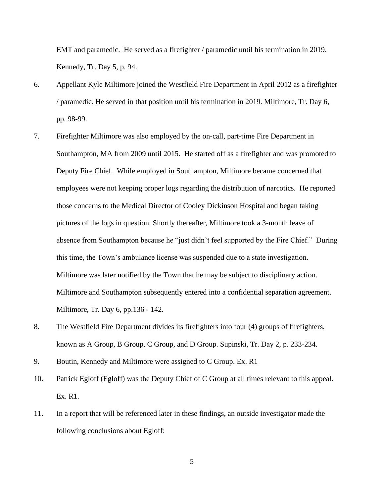EMT and paramedic. He served as a firefighter / paramedic until his termination in 2019. Kennedy, Tr. Day 5, p. 94.

- 6. Appellant Kyle Miltimore joined the Westfield Fire Department in April 2012 as a firefighter / paramedic. He served in that position until his termination in 2019. Miltimore, Tr. Day 6, pp. 98-99.
- 7. Firefighter Miltimore was also employed by the on-call, part-time Fire Department in Southampton, MA from 2009 until 2015. He started off as a firefighter and was promoted to Deputy Fire Chief. While employed in Southampton, Miltimore became concerned that employees were not keeping proper logs regarding the distribution of narcotics. He reported those concerns to the Medical Director of Cooley Dickinson Hospital and began taking pictures of the logs in question. Shortly thereafter, Miltimore took a 3-month leave of absence from Southampton because he "just didn't feel supported by the Fire Chief." During this time, the Town's ambulance license was suspended due to a state investigation. Miltimore was later notified by the Town that he may be subject to disciplinary action. Miltimore and Southampton subsequently entered into a confidential separation agreement. Miltimore, Tr. Day 6, pp.136 - 142.
- 8. The Westfield Fire Department divides its firefighters into four (4) groups of firefighters, known as A Group, B Group, C Group, and D Group. Supinski, Tr. Day 2, p. 233-234.
- 9. Boutin, Kennedy and Miltimore were assigned to C Group. Ex. R1
- 10. Patrick Egloff (Egloff) was the Deputy Chief of C Group at all times relevant to this appeal. Ex. R1.
- 11. In a report that will be referenced later in these findings, an outside investigator made the following conclusions about Egloff: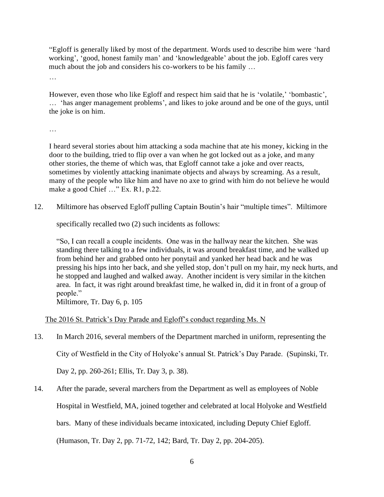"Egloff is generally liked by most of the department. Words used to describe him were 'hard working', 'good, honest family man' and 'knowledgeable' about the job. Egloff cares very much about the job and considers his co-workers to be his family …

…

However, even those who like Egloff and respect him said that he is 'volatile,' 'bombastic', … 'has anger management problems', and likes to joke around and be one of the guys, until the joke is on him.

…

I heard several stories about him attacking a soda machine that ate his money, kicking in the door to the building, tried to flip over a van when he got locked out as a joke, and many other stories, the theme of which was, that Egloff cannot take a joke and over reacts, sometimes by violently attacking inanimate objects and always by screaming. As a result, many of the people who like him and have no axe to grind with him do not believe he would make a good Chief …" Ex. R1, p.22.

12. Miltimore has observed Egloff pulling Captain Boutin's hair "multiple times". Miltimore

specifically recalled two (2) such incidents as follows:

"So, I can recall a couple incidents. One was in the hallway near the kitchen. She was standing there talking to a few individuals, it was around breakfast time, and he walked up from behind her and grabbed onto her ponytail and yanked her head back and he was pressing his hips into her back, and she yelled stop, don't pull on my hair, my neck hurts, and he stopped and laughed and walked away. Another incident is very similar in the kitchen area. In fact, it was right around breakfast time, he walked in, did it in front of a group of people."

Miltimore, Tr. Day 6, p. 105

# The 2016 St. Patrick's Day Parade and Egloff's conduct regarding Ms. N

13. In March 2016, several members of the Department marched in uniform, representing the

City of Westfield in the City of Holyoke's annual St. Patrick's Day Parade. (Supinski, Tr.

Day 2, pp. 260-261; Ellis, Tr. Day 3, p. 38).

14. After the parade, several marchers from the Department as well as employees of Noble

Hospital in Westfield, MA, joined together and celebrated at local Holyoke and Westfield

bars. Many of these individuals became intoxicated, including Deputy Chief Egloff.

(Humason, Tr. Day 2, pp. 71-72, 142; Bard, Tr. Day 2, pp. 204-205).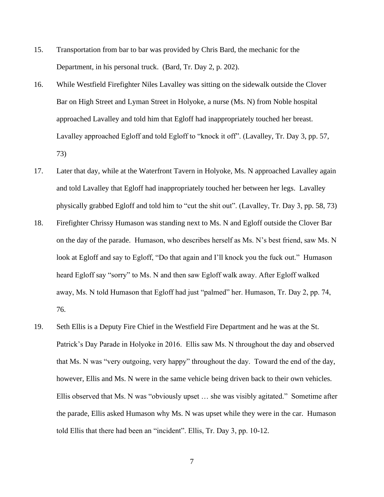- 15. Transportation from bar to bar was provided by Chris Bard, the mechanic for the Department, in his personal truck. (Bard, Tr. Day 2, p. 202).
- 16. While Westfield Firefighter Niles Lavalley was sitting on the sidewalk outside the Clover Bar on High Street and Lyman Street in Holyoke, a nurse (Ms. N) from Noble hospital approached Lavalley and told him that Egloff had inappropriately touched her breast. Lavalley approached Egloff and told Egloff to "knock it off". (Lavalley, Tr. Day 3, pp. 57, 73)
- 17. Later that day, while at the Waterfront Tavern in Holyoke, Ms. N approached Lavalley again and told Lavalley that Egloff had inappropriately touched her between her legs. Lavalley physically grabbed Egloff and told him to "cut the shit out". (Lavalley, Tr. Day 3, pp. 58, 73)
- 18. Firefighter Chrissy Humason was standing next to Ms. N and Egloff outside the Clover Bar on the day of the parade. Humason, who describes herself as Ms. N's best friend, saw Ms. N look at Egloff and say to Egloff, "Do that again and I'll knock you the fuck out." Humason heard Egloff say "sorry" to Ms. N and then saw Egloff walk away. After Egloff walked away, Ms. N told Humason that Egloff had just "palmed" her. Humason, Tr. Day 2, pp. 74, 76.
- 19. Seth Ellis is a Deputy Fire Chief in the Westfield Fire Department and he was at the St. Patrick's Day Parade in Holyoke in 2016. Ellis saw Ms. N throughout the day and observed that Ms. N was "very outgoing, very happy" throughout the day. Toward the end of the day, however, Ellis and Ms. N were in the same vehicle being driven back to their own vehicles. Ellis observed that Ms. N was "obviously upset … she was visibly agitated." Sometime after the parade, Ellis asked Humason why Ms. N was upset while they were in the car. Humason told Ellis that there had been an "incident". Ellis, Tr. Day 3, pp. 10-12.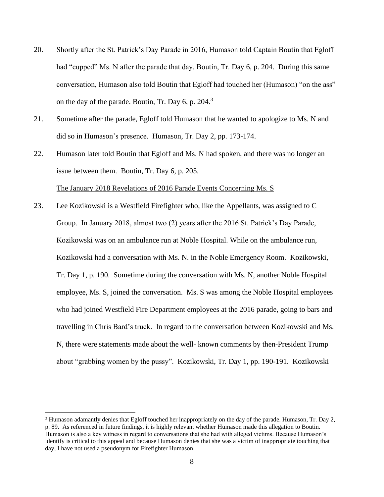- 20. Shortly after the St. Patrick's Day Parade in 2016, Humason told Captain Boutin that Egloff had "cupped" Ms. N after the parade that day. Boutin, Tr. Day 6, p. 204. During this same conversation, Humason also told Boutin that Egloff had touched her (Humason) "on the ass" on the day of the parade. Boutin, Tr. Day 6, p.  $204<sup>3</sup>$
- 21. Sometime after the parade, Egloff told Humason that he wanted to apologize to Ms. N and did so in Humason's presence. Humason, Tr. Day 2, pp. 173-174.
- 22. Humason later told Boutin that Egloff and Ms. N had spoken, and there was no longer an issue between them. Boutin, Tr. Day 6, p. 205. The January 2018 Revelations of 2016 Parade Events Concerning Ms. S
- 23. Lee Kozikowski is a Westfield Firefighter who, like the Appellants, was assigned to C Group. In January 2018, almost two (2) years after the 2016 St. Patrick's Day Parade, Kozikowski was on an ambulance run at Noble Hospital. While on the ambulance run, Kozikowski had a conversation with Ms. N. in the Noble Emergency Room. Kozikowski, Tr. Day 1, p. 190. Sometime during the conversation with Ms. N, another Noble Hospital employee, Ms. S, joined the conversation. Ms. S was among the Noble Hospital employees who had joined Westfield Fire Department employees at the 2016 parade, going to bars and travelling in Chris Bard's truck. In regard to the conversation between Kozikowski and Ms. N, there were statements made about the well- known comments by then-President Trump about "grabbing women by the pussy". Kozikowski, Tr. Day 1, pp. 190-191. Kozikowski

<sup>3</sup> Humason adamantly denies that Egloff touched her inappropriately on the day of the parade. Humason, Tr. Day 2, p. 89. As referenced in future findings, it is highly relevant whether Humason made this allegation to Boutin. Humason is also a key witness in regard to conversations that she had with alleged victims. Because Humason's identify is critical to this appeal and because Humason denies that she was a victim of inappropriate touching that day, I have not used a pseudonym for Firefighter Humason.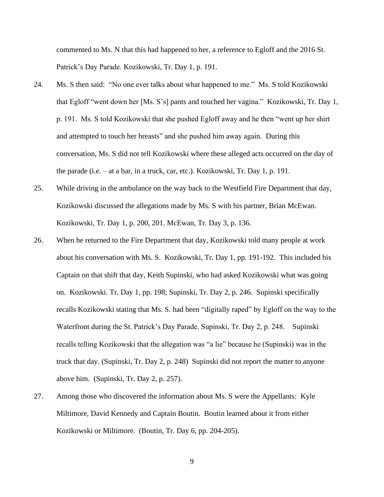commented to Ms. N that this had happened to her, a reference to Egloff and the 2016 St. Patrick's Day Parade. Kozikowski, Tr. Day 1, p. 191.

- 24. Ms. S then said: "No one ever talks about what happened to me." Ms. S told Kozikowski that Egloff "went down her [Ms. S's] pants and touched her vagina." Kozikowski, Tr. Day 1, p. 191. Ms. S told Kozikowski that she pushed Egloff away and he then "went up her shirt and attempted to touch her breasts" and she pushed him away again. During this conversation, Ms. S did not tell Kozikowski where these alleged acts occurred on the day of the parade (i.e. – at a bar, in a truck, car, etc.). Kozikowski, Tr. Day 1, p. 191.
- 25. While driving in the ambulance on the way back to the Westfield Fire Department that day, Kozikowski discussed the allegations made by Ms. S with his partner, Brian McEwan. Kozikowski, Tr. Day 1, p. 200, 201. McEwan, Tr. Day 3, p. 136.
- 26. When he returned to the Fire Department that day, Kozikowski told many people at work about his conversation with Ms. S. Kozikowski, Tr. Day 1, pp. 191-192. This included his Captain on that shift that day, Keith Supinski, who had asked Kozikowski what was going on. Kozikowski. Tr. Day 1, pp. 198; Supinski, Tr. Day 2, p. 246. Supinski specifically recalls Kozikowski stating that Ms. S. had been "digitally raped" by Egloff on the way to the Waterfront during the St. Patrick's Day Parade. Supinski, Tr. Day 2, p. 248. Supinski recalls telling Kozikowski that the allegation was "a lie" because he (Supinski) was in the truck that day. (Supinski, Tr. Day 2, p. 248) Supinski did not report the matter to anyone above him. (Supinski, Tr. Day 2, p. 257).
- 27. Among those who discovered the information about Ms. S were the Appellants: Kyle Miltimore, David Kennedy and Captain Boutin. Boutin learned about it from either Kozikowski or Miltimore. (Boutin, Tr. Day 6, pp. 204-205).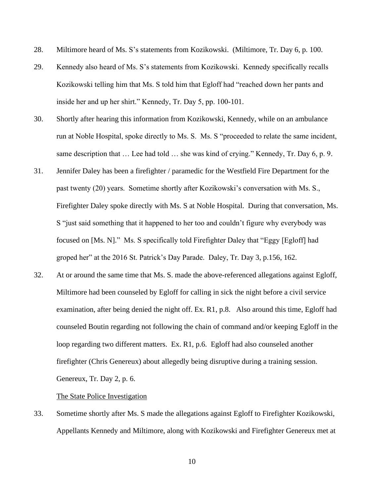- 28. Miltimore heard of Ms. S's statements from Kozikowski. (Miltimore, Tr. Day 6, p. 100.
- 29. Kennedy also heard of Ms. S's statements from Kozikowski. Kennedy specifically recalls Kozikowski telling him that Ms. S told him that Egloff had "reached down her pants and inside her and up her shirt." Kennedy, Tr. Day 5, pp. 100-101.
- 30. Shortly after hearing this information from Kozikowski, Kennedy, while on an ambulance run at Noble Hospital, spoke directly to Ms. S. Ms. S "proceeded to relate the same incident, same description that ... Lee had told ... she was kind of crying." Kennedy, Tr. Day 6, p. 9.
- 31. Jennifer Daley has been a firefighter / paramedic for the Westfield Fire Department for the past twenty (20) years. Sometime shortly after Kozikowski's conversation with Ms. S., Firefighter Daley spoke directly with Ms. S at Noble Hospital. During that conversation, Ms. S "just said something that it happened to her too and couldn't figure why everybody was focused on [Ms. N]." Ms. S specifically told Firefighter Daley that "Eggy [Egloff] had groped her" at the 2016 St. Patrick's Day Parade. Daley, Tr. Day 3, p.156, 162.
- 32. At or around the same time that Ms. S. made the above-referenced allegations against Egloff, Miltimore had been counseled by Egloff for calling in sick the night before a civil service examination, after being denied the night off. Ex. R1, p.8. Also around this time, Egloff had counseled Boutin regarding not following the chain of command and/or keeping Egloff in the loop regarding two different matters. Ex. R1, p.6. Egloff had also counseled another firefighter (Chris Genereux) about allegedly being disruptive during a training session. Genereux, Tr. Day 2, p. 6.

#### The State Police Investigation

33. Sometime shortly after Ms. S made the allegations against Egloff to Firefighter Kozikowski, Appellants Kennedy and Miltimore, along with Kozikowski and Firefighter Genereux met at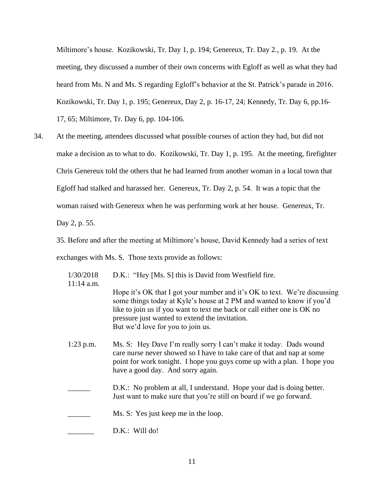Miltimore's house. Kozikowski, Tr. Day 1, p. 194; Genereux, Tr. Day 2., p. 19. At the meeting, they discussed a number of their own concerns with Egloff as well as what they had heard from Ms. N and Ms. S regarding Egloff's behavior at the St. Patrick's parade in 2016. Kozikowski, Tr. Day 1, p. 195; Genereux, Day 2, p. 16-17, 24; Kennedy, Tr. Day 6, pp.16- 17, 65; Miltimore, Tr. Day 6, pp. 104-106.

34. At the meeting, attendees discussed what possible courses of action they had, but did not make a decision as to what to do. Kozikowski, Tr. Day 1, p. 195. At the meeting, firefighter Chris Genereux told the others that he had learned from another woman in a local town that Egloff had stalked and harassed her. Genereux, Tr. Day 2, p. 54. It was a topic that the woman raised with Genereux when he was performing work at her house. Genereux, Tr. Day 2, p. 55.

35. Before and after the meeting at Miltimore's house, David Kennedy had a series of text exchanges with Ms. S. Those texts provide as follows:

1/30/2018 D.K.: "Hey [Ms. S] this is David from Westfield fire.  $11:14$  a.m.

- Hope it's OK that I got your number and it's OK to text. We're discussing some things today at Kyle's house at 2 PM and wanted to know if you'd like to join us if you want to text me back or call either one is OK no pressure just wanted to extend the invitation. But we'd love for you to join us.
- 1:23 p.m. Ms. S: Hey Dave I'm really sorry I can't make it today. Dads wound care nurse never showed so I have to take care of that and nap at some point for work tonight. I hope you guys come up with a plan. I hope you have a good day. And sorry again.
	- D.K.: No problem at all, I understand. Hope your dad is doing better. Just want to make sure that you're still on board if we go forward.
- Ms. S: Yes just keep me in the loop.
- D.K.: Will do!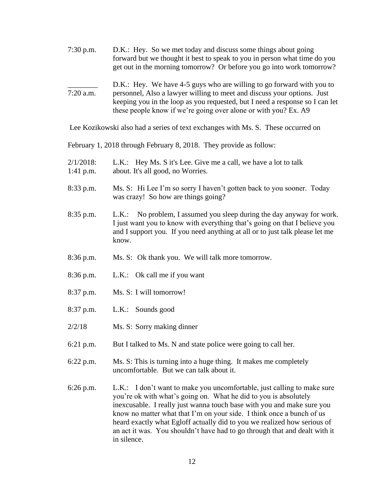| $7:30$ p.m.                                                        | D.K.: Hey. So we met today and discuss some things about going<br>forward but we thought it best to speak to you in person what time do you<br>get out in the morning tomorrow? Or before you go into work tomorrow?                                                                                |  |
|--------------------------------------------------------------------|-----------------------------------------------------------------------------------------------------------------------------------------------------------------------------------------------------------------------------------------------------------------------------------------------------|--|
| $7:20$ a.m.                                                        | D.K.: Hey. We have 4-5 guys who are willing to go forward with you to<br>personnel, Also a lawyer willing to meet and discuss your options. Just<br>keeping you in the loop as you requested, but I need a response so I can let<br>these people know if we're going over alone or with you? Ex. A9 |  |
|                                                                    | Lee Kozikowski also had a series of text exchanges with Ms. S. These occurred on                                                                                                                                                                                                                    |  |
| February 1, 2018 through February 8, 2018. They provide as follow: |                                                                                                                                                                                                                                                                                                     |  |
| $2/1/2018$ :<br>$1:41$ p.m.                                        | L.K.: Hey Ms. S it's Lee. Give me a call, we have a lot to talk<br>about. It's all good, no Worries.                                                                                                                                                                                                |  |
| 8:33 p.m.                                                          | Ms. S: Hi Lee I'm so sorry I haven't gotten back to you sooner. Today<br>was crazy! So how are things going?                                                                                                                                                                                        |  |
| $8:35$ p.m.                                                        | L.K.: No problem, I assumed you sleep during the day anyway for work.<br>I just want you to know with everything that's going on that I believe you<br>and I support you. If you need anything at all or to just talk please let me<br>know.                                                        |  |

- 8:36 p.m. Ms. S: Ok thank you. We will talk more tomorrow.
- 8:36 p.m. L.K.: Ok call me if you want
- 8:37 p.m. Ms. S: I will tomorrow!
- 8:37 p.m. L.K.: Sounds good
- 2/2/18 Ms. S: Sorry making dinner
- 6:21 p.m. But I talked to Ms. N and state police were going to call her.
- 6:22 p.m. Ms. S: This is turning into a huge thing. It makes me completely uncomfortable. But we can talk about it.
- 6:26 p.m. L.K.: I don't want to make you uncomfortable, just calling to make sure you're ok with what's going on. What he did to you is absolutely inexcusable. I really just wanna touch base with you and make sure you know no matter what that I'm on your side. I think once a bunch of us heard exactly what Egloff actually did to you we realized how serious of an act it was. You shouldn't have had to go through that and dealt with it in silence.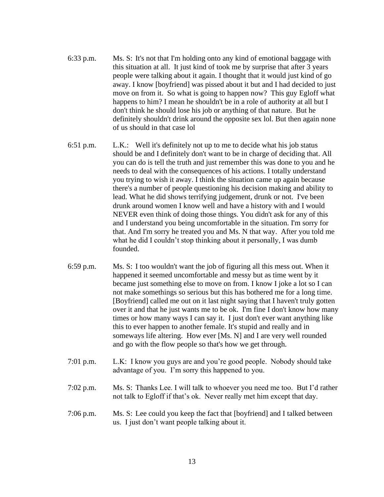- 6:33 p.m. Ms. S: It's not that I'm holding onto any kind of emotional baggage with this situation at all. It just kind of took me by surprise that after 3 years people were talking about it again. I thought that it would just kind of go away. I know [boyfriend] was pissed about it but and I had decided to just move on from it. So what is going to happen now? This guy Egloff what happens to him? I mean he shouldn't be in a role of authority at all but I don't think he should lose his job or anything of that nature. But he definitely shouldn't drink around the opposite sex lol. But then again none of us should in that case lol
- 6:51 p.m. L.K.: Well it's definitely not up to me to decide what his job status should be and I definitely don't want to be in charge of deciding that. All you can do is tell the truth and just remember this was done to you and he needs to deal with the consequences of his actions. I totally understand you trying to wish it away. I think the situation came up again because there's a number of people questioning his decision making and ability to lead. What he did shows terrifying judgement, drunk or not. I've been drunk around women I know well and have a history with and I would NEVER even think of doing those things. You didn't ask for any of this and I understand you being uncomfortable in the situation. I'm sorry for that. And I'm sorry he treated you and Ms. N that way. After you told me what he did I couldn't stop thinking about it personally, I was dumb founded.
- 6:59 p.m. Ms. S: I too wouldn't want the job of figuring all this mess out. When it happened it seemed uncomfortable and messy but as time went by it became just something else to move on from. I know I joke a lot so I can not make somethings so serious but this has bothered me for a long time. [Boyfriend] called me out on it last night saying that I haven't truly gotten over it and that he just wants me to be ok. I'm fine I don't know how many times or how many ways I can say it. I just don't ever want anything like this to ever happen to another female. It's stupid and really and in someways life altering. How ever [Ms. N] and I are very well rounded and go with the flow people so that's how we get through.
- 7:01 p.m. L.K: I know you guys are and you're good people. Nobody should take advantage of you. I'm sorry this happened to you.
- 7:02 p.m. Ms. S: Thanks Lee. I will talk to whoever you need me too. But I'd rather not talk to Egloff if that's ok. Never really met him except that day.
- 7:06 p.m. Ms. S: Lee could you keep the fact that [boyfriend] and I talked between us. I just don't want people talking about it.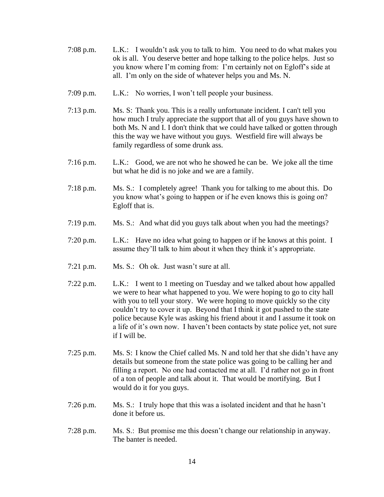- 7:08 p.m. L.K.: I wouldn't ask you to talk to him. You need to do what makes you ok is all. You deserve better and hope talking to the police helps. Just so you know where I'm coming from: I'm certainly not on Egloff's side at all. I'm only on the side of whatever helps you and Ms. N.
- 7:09 p.m. L.K.: No worries, I won't tell people your business.
- 7:13 p.m. Ms. S: Thank you. This is a really unfortunate incident. I can't tell you how much I truly appreciate the support that all of you guys have shown to both Ms. N and I. I don't think that we could have talked or gotten through this the way we have without you guys. Westfield fire will always be family regardless of some drunk ass.
- 7:16 p.m. L.K.: Good, we are not who he showed he can be. We joke all the time but what he did is no joke and we are a family.
- 7:18 p.m. Ms. S.: I completely agree! Thank you for talking to me about this. Do you know what's going to happen or if he even knows this is going on? Egloff that is.
- 7:19 p.m. Ms. S.: And what did you guys talk about when you had the meetings?
- 7:20 p.m. L.K.: Have no idea what going to happen or if he knows at this point. I assume they'll talk to him about it when they think it's appropriate.
- 7:21 p.m. Ms. S.: Oh ok. Just wasn't sure at all.
- 7:22 p.m. L.K.: I went to 1 meeting on Tuesday and we talked about how appalled we were to hear what happened to you. We were hoping to go to city hall with you to tell your story. We were hoping to move quickly so the city couldn't try to cover it up. Beyond that I think it got pushed to the state police because Kyle was asking his friend about it and I assume it took on a life of it's own now. I haven't been contacts by state police yet, not sure if I will be.
- 7:25 p.m. Ms. S: I know the Chief called Ms. N and told her that she didn't have any details but someone from the state police was going to be calling her and filling a report. No one had contacted me at all. I'd rather not go in front of a ton of people and talk about it. That would be mortifying. But I would do it for you guys.
- 7:26 p.m. Ms. S.: I truly hope that this was a isolated incident and that he hasn't done it before us.
- 7:28 p.m. Ms. S.: But promise me this doesn't change our relationship in anyway. The banter is needed.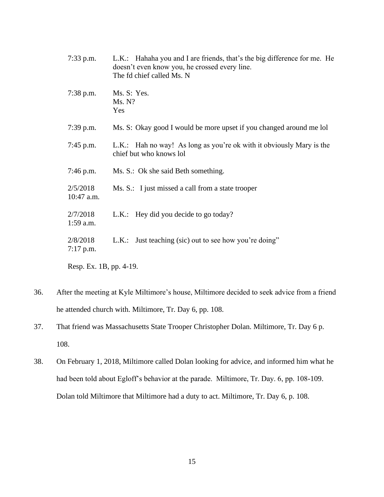| $7:33$ p.m.             | L.K.: Hahaha you and I are friends, that's the big difference for me. He<br>doesn't even know you, he crossed every line.<br>The fd chief called Ms. N |  |
|-------------------------|--------------------------------------------------------------------------------------------------------------------------------------------------------|--|
| $7:38$ p.m.             | Ms. S: Yes.<br>Ms. N?<br>Yes                                                                                                                           |  |
| $7:39$ p.m.             | Ms. S: Okay good I would be more upset if you changed around me lol                                                                                    |  |
| $7:45$ p.m.             | L.K.: Hah no way! As long as you're ok with it obviously Mary is the<br>chief but who knows lol                                                        |  |
| $7:46$ p.m.             | Ms. S.: Ok she said Beth something.                                                                                                                    |  |
| 2/5/2018<br>10:47 a.m.  | Ms. S.: I just missed a call from a state trooper                                                                                                      |  |
| 2/7/2018<br>$1:59$ a.m. | L.K.: Hey did you decide to go today?                                                                                                                  |  |
| 2/8/2018<br>$7:17$ p.m. | L.K.: Just teaching (sic) out to see how you're doing"                                                                                                 |  |
| Resp. Ex. 1B, pp. 4-19. |                                                                                                                                                        |  |

- 36. After the meeting at Kyle Miltimore's house, Miltimore decided to seek advice from a friend he attended church with. Miltimore, Tr. Day 6, pp. 108.
- 37. That friend was Massachusetts State Trooper Christopher Dolan. Miltimore, Tr. Day 6 p. 108.
- 38. On February 1, 2018, Miltimore called Dolan looking for advice, and informed him what he had been told about Egloff's behavior at the parade. Miltimore, Tr. Day. 6, pp. 108-109. Dolan told Miltimore that Miltimore had a duty to act. Miltimore, Tr. Day 6, p. 108.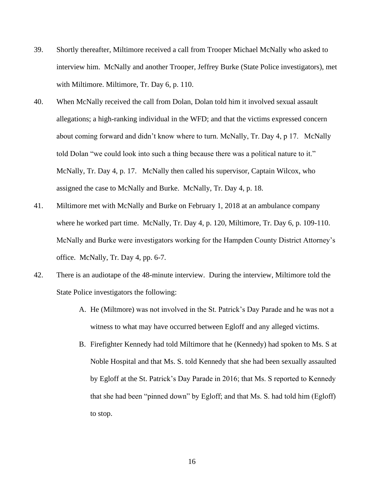- 39. Shortly thereafter, Miltimore received a call from Trooper Michael McNally who asked to interview him. McNally and another Trooper, Jeffrey Burke (State Police investigators), met with Miltimore. Miltimore, Tr. Day 6, p. 110.
- 40. When McNally received the call from Dolan, Dolan told him it involved sexual assault allegations; a high-ranking individual in the WFD; and that the victims expressed concern about coming forward and didn't know where to turn. McNally, Tr. Day 4, p 17. McNally told Dolan "we could look into such a thing because there was a political nature to it." McNally, Tr. Day 4, p. 17. McNally then called his supervisor, Captain Wilcox, who assigned the case to McNally and Burke. McNally, Tr. Day 4, p. 18.
- 41. Miltimore met with McNally and Burke on February 1, 2018 at an ambulance company where he worked part time. McNally, Tr. Day 4, p. 120, Miltimore, Tr. Day 6, p. 109-110. McNally and Burke were investigators working for the Hampden County District Attorney's office. McNally, Tr. Day 4, pp. 6-7.
- 42. There is an audiotape of the 48-minute interview. During the interview, Miltimore told the State Police investigators the following:
	- A. He (Miltmore) was not involved in the St. Patrick's Day Parade and he was not a witness to what may have occurred between Egloff and any alleged victims.
	- B. Firefighter Kennedy had told Miltimore that he (Kennedy) had spoken to Ms. S at Noble Hospital and that Ms. S. told Kennedy that she had been sexually assaulted by Egloff at the St. Patrick's Day Parade in 2016; that Ms. S reported to Kennedy that she had been "pinned down" by Egloff; and that Ms. S. had told him (Egloff) to stop.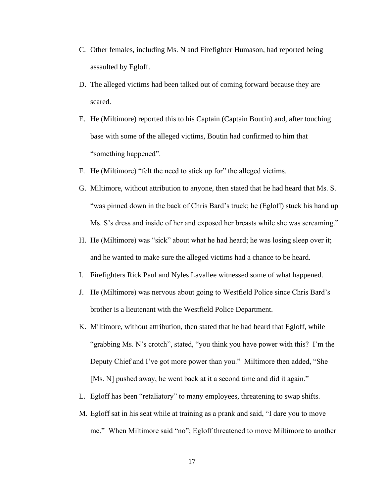- C. Other females, including Ms. N and Firefighter Humason, had reported being assaulted by Egloff.
- D. The alleged victims had been talked out of coming forward because they are scared.
- E. He (Miltimore) reported this to his Captain (Captain Boutin) and, after touching base with some of the alleged victims, Boutin had confirmed to him that "something happened".
- F. He (Miltimore) "felt the need to stick up for" the alleged victims.
- G. Miltimore, without attribution to anyone, then stated that he had heard that Ms. S. "was pinned down in the back of Chris Bard's truck; he (Egloff) stuck his hand up Ms. S's dress and inside of her and exposed her breasts while she was screaming."
- H. He (Miltimore) was "sick" about what he had heard; he was losing sleep over it; and he wanted to make sure the alleged victims had a chance to be heard.
- I. Firefighters Rick Paul and Nyles Lavallee witnessed some of what happened.
- J. He (Miltimore) was nervous about going to Westfield Police since Chris Bard's brother is a lieutenant with the Westfield Police Department.
- K. Miltimore, without attribution, then stated that he had heard that Egloff, while "grabbing Ms. N's crotch", stated, "you think you have power with this? I'm the Deputy Chief and I've got more power than you." Miltimore then added, "She [Ms. N] pushed away, he went back at it a second time and did it again."
- L. Egloff has been "retaliatory" to many employees, threatening to swap shifts.
- M. Egloff sat in his seat while at training as a prank and said, "I dare you to move me." When Miltimore said "no"; Egloff threatened to move Miltimore to another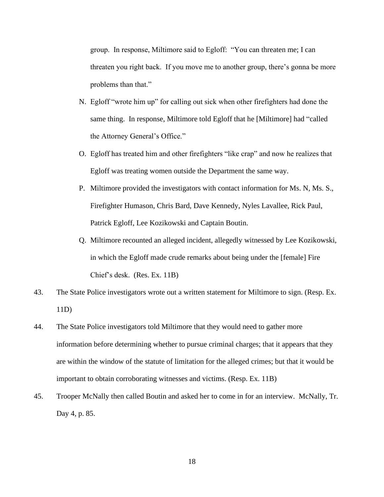group. In response, Miltimore said to Egloff: "You can threaten me; I can threaten you right back. If you move me to another group, there's gonna be more problems than that."

- N. Egloff "wrote him up" for calling out sick when other firefighters had done the same thing. In response, Miltimore told Egloff that he [Miltimore] had "called the Attorney General's Office."
- O. Egloff has treated him and other firefighters "like crap" and now he realizes that Egloff was treating women outside the Department the same way.
- P. Miltimore provided the investigators with contact information for Ms. N, Ms. S., Firefighter Humason, Chris Bard, Dave Kennedy, Nyles Lavallee, Rick Paul, Patrick Egloff, Lee Kozikowski and Captain Boutin.
- Q. Miltimore recounted an alleged incident, allegedly witnessed by Lee Kozikowski, in which the Egloff made crude remarks about being under the [female] Fire Chief's desk. (Res. Ex. 11B)
- 43. The State Police investigators wrote out a written statement for Miltimore to sign. (Resp. Ex. 11D)
- 44. The State Police investigators told Miltimore that they would need to gather more information before determining whether to pursue criminal charges; that it appears that they are within the window of the statute of limitation for the alleged crimes; but that it would be important to obtain corroborating witnesses and victims. (Resp. Ex. 11B)
- 45. Trooper McNally then called Boutin and asked her to come in for an interview. McNally, Tr. Day 4, p. 85.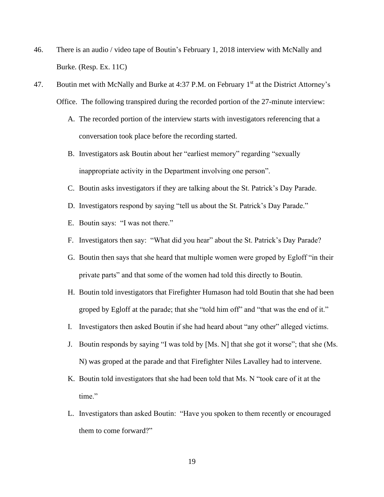- 46. There is an audio / video tape of Boutin's February 1, 2018 interview with McNally and Burke. (Resp. Ex. 11C)
- 47. Boutin met with McNally and Burke at 4:37 P.M. on February 1<sup>st</sup> at the District Attorney's Office. The following transpired during the recorded portion of the 27-minute interview:
	- A. The recorded portion of the interview starts with investigators referencing that a conversation took place before the recording started.
	- B. Investigators ask Boutin about her "earliest memory" regarding "sexually inappropriate activity in the Department involving one person".
	- C. Boutin asks investigators if they are talking about the St. Patrick's Day Parade.
	- D. Investigators respond by saying "tell us about the St. Patrick's Day Parade."
	- E. Boutin says: "I was not there."
	- F. Investigators then say: "What did you hear" about the St. Patrick's Day Parade?
	- G. Boutin then says that she heard that multiple women were groped by Egloff "in their private parts" and that some of the women had told this directly to Boutin.
	- H. Boutin told investigators that Firefighter Humason had told Boutin that she had been groped by Egloff at the parade; that she "told him off" and "that was the end of it."
	- I. Investigators then asked Boutin if she had heard about "any other" alleged victims.
	- J. Boutin responds by saying "I was told by [Ms. N] that she got it worse"; that she (Ms. N) was groped at the parade and that Firefighter Niles Lavalley had to intervene.
	- K. Boutin told investigators that she had been told that Ms. N "took care of it at the time."
	- L. Investigators than asked Boutin: "Have you spoken to them recently or encouraged them to come forward?"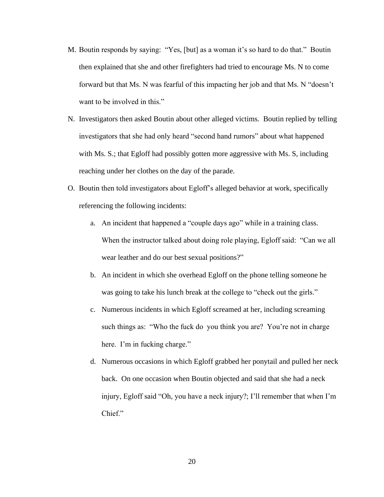- M. Boutin responds by saying: "Yes, [but] as a woman it's so hard to do that." Boutin then explained that she and other firefighters had tried to encourage Ms. N to come forward but that Ms. N was fearful of this impacting her job and that Ms. N "doesn't want to be involved in this."
- N. Investigators then asked Boutin about other alleged victims. Boutin replied by telling investigators that she had only heard "second hand rumors" about what happened with Ms. S.; that Egloff had possibly gotten more aggressive with Ms. S, including reaching under her clothes on the day of the parade.
- O. Boutin then told investigators about Egloff's alleged behavior at work, specifically referencing the following incidents:
	- a. An incident that happened a "couple days ago" while in a training class. When the instructor talked about doing role playing, Egloff said: "Can we all wear leather and do our best sexual positions?"
	- b. An incident in which she overhead Egloff on the phone telling someone he was going to take his lunch break at the college to "check out the girls."
	- c. Numerous incidents in which Egloff screamed at her, including screaming such things as: "Who the fuck do you think you are? You're not in charge here. I'm in fucking charge."
	- d. Numerous occasions in which Egloff grabbed her ponytail and pulled her neck back. On one occasion when Boutin objected and said that she had a neck injury, Egloff said "Oh, you have a neck injury?; I'll remember that when I'm Chief."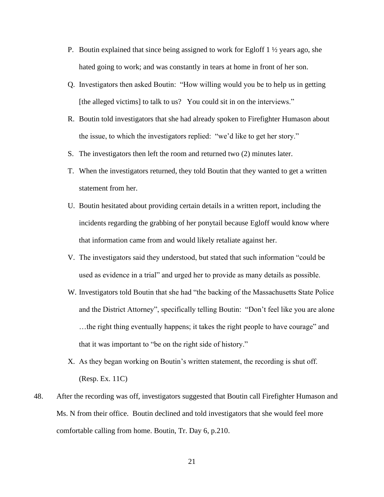- P. Boutin explained that since being assigned to work for Egloff 1 ½ years ago, she hated going to work; and was constantly in tears at home in front of her son.
- Q. Investigators then asked Boutin: "How willing would you be to help us in getting [the alleged victims] to talk to us? You could sit in on the interviews."
- R. Boutin told investigators that she had already spoken to Firefighter Humason about the issue, to which the investigators replied: "we'd like to get her story."
- S. The investigators then left the room and returned two (2) minutes later.
- T. When the investigators returned, they told Boutin that they wanted to get a written statement from her.
- U. Boutin hesitated about providing certain details in a written report, including the incidents regarding the grabbing of her ponytail because Egloff would know where that information came from and would likely retaliate against her.
- V. The investigators said they understood, but stated that such information "could be used as evidence in a trial" and urged her to provide as many details as possible.
- W. Investigators told Boutin that she had "the backing of the Massachusetts State Police and the District Attorney", specifically telling Boutin: "Don't feel like you are alone …the right thing eventually happens; it takes the right people to have courage" and that it was important to "be on the right side of history."
- X. As they began working on Boutin's written statement, the recording is shut off. (Resp. Ex. 11C)
- 48. After the recording was off, investigators suggested that Boutin call Firefighter Humason and Ms. N from their office. Boutin declined and told investigators that she would feel more comfortable calling from home. Boutin, Tr. Day 6, p.210.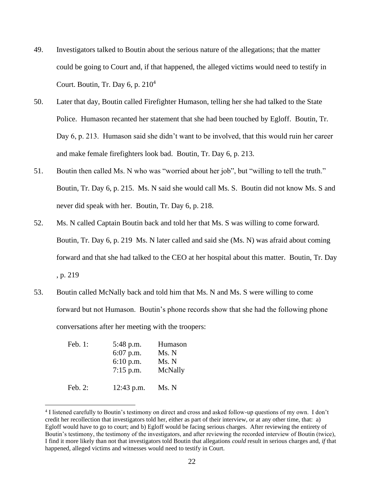- 49. Investigators talked to Boutin about the serious nature of the allegations; that the matter could be going to Court and, if that happened, the alleged victims would need to testify in Court. Boutin, Tr. Day 6, p.  $210<sup>4</sup>$
- 50. Later that day, Boutin called Firefighter Humason, telling her she had talked to the State Police. Humason recanted her statement that she had been touched by Egloff. Boutin, Tr. Day 6, p. 213. Humason said she didn't want to be involved, that this would ruin her career and make female firefighters look bad. Boutin, Tr. Day 6, p. 213.
- 51. Boutin then called Ms. N who was "worried about her job", but "willing to tell the truth." Boutin, Tr. Day 6, p. 215. Ms. N said she would call Ms. S. Boutin did not know Ms. S and never did speak with her. Boutin, Tr. Day 6, p. 218.
- 52. Ms. N called Captain Boutin back and told her that Ms. S was willing to come forward. Boutin, Tr. Day 6, p. 219 Ms. N later called and said she (Ms. N) was afraid about coming forward and that she had talked to the CEO at her hospital about this matter. Boutin, Tr. Day , p. 219
- 53. Boutin called McNally back and told him that Ms. N and Ms. S were willing to come forward but not Humason. Boutin's phone records show that she had the following phone conversations after her meeting with the troopers:

| Feb. 1:    | 5:48 p.m.    | Humason |
|------------|--------------|---------|
|            | 6:07 p.m.    | Ms. N   |
|            | $6:10$ p.m.  | Ms. N   |
|            | $7:15$ p.m.  | McNally |
| Feb. $2$ : | $12:43$ p.m. | Ms. N   |

<sup>4</sup> I listened carefully to Boutin's testimony on direct and cross and asked follow-up questions of my own. I don't credit her recollection that investigators told her, either as part of their interview, or at any other time, that: a) Egloff would have to go to court; and b) Egloff would be facing serious charges. After reviewing the entirety of Boutin's testimony, the testimony of the investigators, and after reviewing the recorded interview of Boutin (twice), I find it more likely than not that investigators told Boutin that allegations *could* result in serious charges and, *if* that happened, alleged victims and witnesses would need to testify in Court.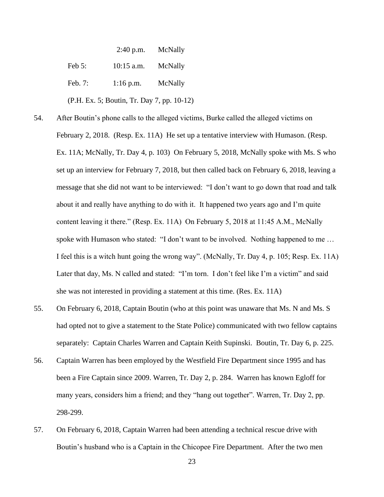2:40 p.m. McNally Feb 5: 10:15 a.m. McNally Feb. 7: 1:16 p.m. McNally (P.H. Ex. 5; Boutin, Tr. Day 7, pp. 10-12)

- 54. After Boutin's phone calls to the alleged victims, Burke called the alleged victims on February 2, 2018. (Resp. Ex. 11A) He set up a tentative interview with Humason. (Resp. Ex. 11A; McNally, Tr. Day 4, p. 103) On February 5, 2018, McNally spoke with Ms. S who set up an interview for February 7, 2018, but then called back on February 6, 2018, leaving a message that she did not want to be interviewed: "I don't want to go down that road and talk about it and really have anything to do with it. It happened two years ago and I'm quite content leaving it there." (Resp. Ex. 11A) On February 5, 2018 at 11:45 A.M., McNally spoke with Humason who stated: "I don't want to be involved. Nothing happened to me … I feel this is a witch hunt going the wrong way". (McNally, Tr. Day 4, p. 105; Resp. Ex. 11A) Later that day, Ms. N called and stated: "I'm torn. I don't feel like I'm a victim" and said she was not interested in providing a statement at this time. (Res. Ex. 11A)
- 55. On February 6, 2018, Captain Boutin (who at this point was unaware that Ms. N and Ms. S had opted not to give a statement to the State Police) communicated with two fellow captains separately: Captain Charles Warren and Captain Keith Supinski. Boutin, Tr. Day 6, p. 225.
- 56. Captain Warren has been employed by the Westfield Fire Department since 1995 and has been a Fire Captain since 2009. Warren, Tr. Day 2, p. 284. Warren has known Egloff for many years, considers him a friend; and they "hang out together". Warren, Tr. Day 2, pp. 298-299.
- 57. On February 6, 2018, Captain Warren had been attending a technical rescue drive with Boutin's husband who is a Captain in the Chicopee Fire Department. After the two men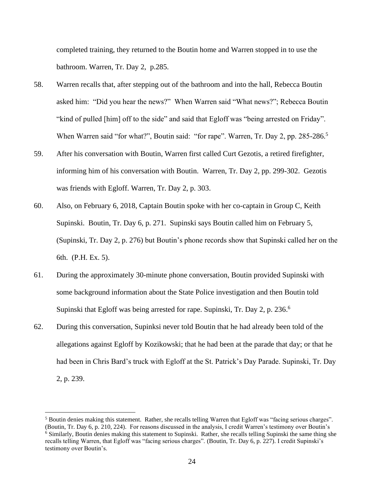completed training, they returned to the Boutin home and Warren stopped in to use the bathroom. Warren, Tr. Day 2, p.285.

- 58. Warren recalls that, after stepping out of the bathroom and into the hall, Rebecca Boutin asked him: "Did you hear the news?" When Warren said "What news?"; Rebecca Boutin "kind of pulled [him] off to the side" and said that Egloff was "being arrested on Friday". When Warren said "for what?", Boutin said: "for rape". Warren, Tr. Day 2, pp. 285-286.<sup>5</sup>
- 59. After his conversation with Boutin, Warren first called Curt Gezotis, a retired firefighter, informing him of his conversation with Boutin. Warren, Tr. Day 2, pp. 299-302. Gezotis was friends with Egloff. Warren, Tr. Day 2, p. 303.
- 60. Also, on February 6, 2018, Captain Boutin spoke with her co-captain in Group C, Keith Supinski. Boutin, Tr. Day 6, p. 271. Supinski says Boutin called him on February 5, (Supinski, Tr. Day 2, p. 276) but Boutin's phone records show that Supinski called her on the 6th. (P.H. Ex. 5).
- 61. During the approximately 30-minute phone conversation, Boutin provided Supinski with some background information about the State Police investigation and then Boutin told Supinski that Egloff was being arrested for rape. Supinski, Tr. Day 2, p. 236.<sup>6</sup>
- 62. During this conversation, Supinksi never told Boutin that he had already been told of the allegations against Egloff by Kozikowski; that he had been at the parade that day; or that he had been in Chris Bard's truck with Egloff at the St. Patrick's Day Parade. Supinski, Tr. Day 2, p. 239.

<sup>5</sup> Boutin denies making this statement. Rather, she recalls telling Warren that Egloff was "facing serious charges". (Boutin, Tr. Day 6, p. 210, 224). For reasons discussed in the analysis, I credit Warren's testimony over Boutin's <sup>6</sup> Similarly, Boutin denies making this statement to Supinski. Rather, she recalls telling Supinski the same thing she recalls telling Warren, that Egloff was "facing serious charges". (Boutin, Tr. Day 6, p. 227). I credit Supinski's testimony over Boutin's.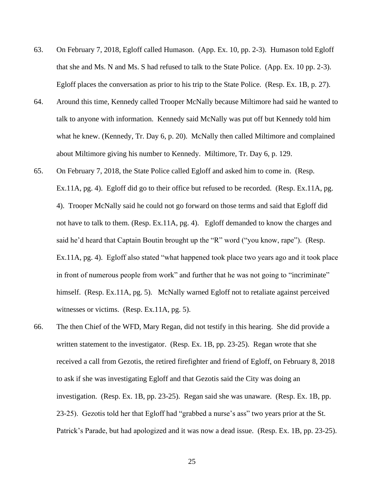- 63. On February 7, 2018, Egloff called Humason. (App. Ex. 10, pp. 2-3). Humason told Egloff that she and Ms. N and Ms. S had refused to talk to the State Police. (App. Ex. 10 pp. 2-3). Egloff places the conversation as prior to his trip to the State Police. (Resp. Ex. 1B, p. 27).
- 64. Around this time, Kennedy called Trooper McNally because Miltimore had said he wanted to talk to anyone with information. Kennedy said McNally was put off but Kennedy told him what he knew. (Kennedy, Tr. Day 6, p. 20). McNally then called Miltimore and complained about Miltimore giving his number to Kennedy. Miltimore, Tr. Day 6, p. 129.
- 65. On February 7, 2018, the State Police called Egloff and asked him to come in. (Resp. Ex.11A, pg. 4). Egloff did go to their office but refused to be recorded. (Resp. Ex.11A, pg. 4). Trooper McNally said he could not go forward on those terms and said that Egloff did not have to talk to them. (Resp. Ex.11A, pg. 4). Egloff demanded to know the charges and said he'd heard that Captain Boutin brought up the "R" word ("you know, rape"). (Resp. Ex.11A, pg. 4). Egloff also stated "what happened took place two years ago and it took place in front of numerous people from work" and further that he was not going to "incriminate" himself. (Resp. Ex.11A, pg. 5). McNally warned Egloff not to retaliate against perceived witnesses or victims. (Resp. Ex.11A, pg. 5).
- 66. The then Chief of the WFD, Mary Regan, did not testify in this hearing. She did provide a written statement to the investigator. (Resp. Ex. 1B, pp. 23-25). Regan wrote that she received a call from Gezotis, the retired firefighter and friend of Egloff, on February 8, 2018 to ask if she was investigating Egloff and that Gezotis said the City was doing an investigation. (Resp. Ex. 1B, pp. 23-25). Regan said she was unaware. (Resp. Ex. 1B, pp. 23-25). Gezotis told her that Egloff had "grabbed a nurse's ass" two years prior at the St. Patrick's Parade, but had apologized and it was now a dead issue. (Resp. Ex. 1B, pp. 23-25).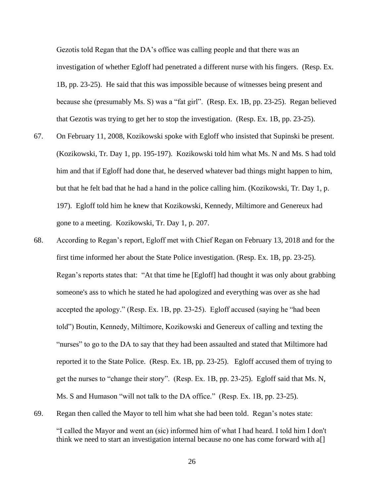Gezotis told Regan that the DA's office was calling people and that there was an investigation of whether Egloff had penetrated a different nurse with his fingers. (Resp. Ex. 1B, pp. 23-25). He said that this was impossible because of witnesses being present and because she (presumably Ms. S) was a "fat girl". (Resp. Ex. 1B, pp. 23-25). Regan believed that Gezotis was trying to get her to stop the investigation. (Resp. Ex. 1B, pp. 23-25).

- 67. On February 11, 2008, Kozikowski spoke with Egloff who insisted that Supinski be present. (Kozikowski, Tr. Day 1, pp. 195-197). Kozikowski told him what Ms. N and Ms. S had told him and that if Egloff had done that, he deserved whatever bad things might happen to him, but that he felt bad that he had a hand in the police calling him. (Kozikowski, Tr. Day 1, p. 197). Egloff told him he knew that Kozikowski, Kennedy, Miltimore and Genereux had gone to a meeting. Kozikowski, Tr. Day 1, p. 207.
- 68. According to Regan's report, Egloff met with Chief Regan on February 13, 2018 and for the first time informed her about the State Police investigation. (Resp. Ex. 1B, pp. 23-25). Regan's reports states that: "At that time he [Egloff] had thought it was only about grabbing someone's ass to which he stated he had apologized and everything was over as she had accepted the apology." (Resp. Ex. 1B, pp. 23-25). Egloff accused (saying he "had been told") Boutin, Kennedy, Miltimore, Kozikowski and Genereux of calling and texting the "nurses" to go to the DA to say that they had been assaulted and stated that Miltimore had reported it to the State Police. (Resp. Ex. 1B, pp. 23-25). Egloff accused them of trying to get the nurses to "change their story". (Resp. Ex. 1B, pp. 23-25). Egloff said that Ms. N, Ms. S and Humason "will not talk to the DA office." (Resp. Ex. 1B, pp. 23-25).
- 69. Regan then called the Mayor to tell him what she had been told. Regan's notes state:

"I called the Mayor and went an (sic) informed him of what I had heard. I told him I don't think we need to start an investigation internal because no one has come forward with a[]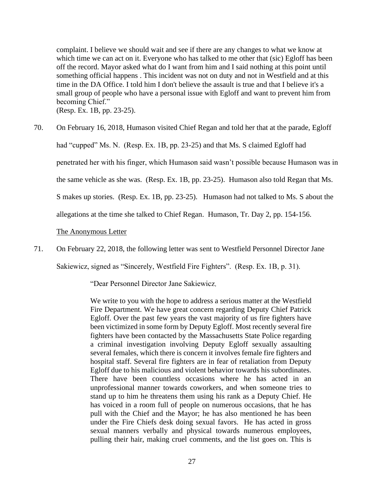complaint. I believe we should wait and see if there are any changes to what we know at which time we can act on it. Everyone who has talked to me other that (sic) Egloff has been off the record. Mayor asked what do I want from him and I said nothing at this point until something official happens . This incident was not on duty and not in Westfield and at this time in the DA Office. I told him I don't believe the assault is true and that I believe it's a small group of people who have a personal issue with Egloff and want to prevent him from becoming Chief."

(Resp. Ex. 1B, pp. 23-25).

70. On February 16, 2018, Humason visited Chief Regan and told her that at the parade, Egloff had "cupped" Ms. N. (Resp. Ex. 1B, pp. 23-25) and that Ms. S claimed Egloff had penetrated her with his finger, which Humason said wasn't possible because Humason was in the same vehicle as she was. (Resp. Ex. 1B, pp. 23-25). Humason also told Regan that Ms. S makes up stories. (Resp. Ex. 1B, pp. 23-25). Humason had not talked to Ms. S about the allegations at the time she talked to Chief Regan. Humason, Tr. Day 2, pp. 154-156.

The Anonymous Letter

71. On February 22, 2018, the following letter was sent to Westfield Personnel Director Jane

Sakiewicz, signed as "Sincerely, Westfield Fire Fighters". (Resp. Ex. 1B, p. 31).

"Dear Personnel Director Jane Sakiewicz,

We write to you with the hope to address a serious matter at the Westfield Fire Department. We have great concern regarding Deputy Chief Patrick Egloff. Over the past few years the vast majority of us fire fighters have been victimized in some form by Deputy Egloff. Most recently several fire fighters have been contacted by the Massachusetts State Police regarding a criminal investigation involving Deputy Egloff sexually assaulting several females, which there is concern it involves female fire fighters and hospital staff. Several fire fighters are in fear of retaliation from Deputy Egloff due to his malicious and violent behavior towards his subordinates. There have been countless occasions where he has acted in an unprofessional manner towards coworkers, and when someone tries to stand up to him he threatens them using his rank as a Deputy Chief. He has voiced in a room full of people on numerous occasions, that he has pull with the Chief and the Mayor; he has also mentioned he has been under the Fire Chiefs desk doing sexual favors. He has acted in gross sexual manners verbally and physical towards numerous employees, pulling their hair, making cruel comments, and the list goes on. This is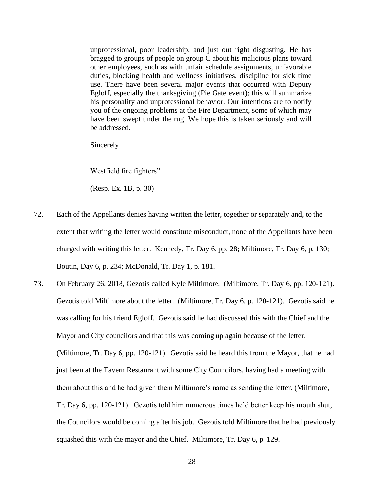unprofessional, poor leadership, and just out right disgusting. He has bragged to groups of people on group C about his malicious plans toward other employees, such as with unfair schedule assignments, unfavorable duties, blocking health and wellness initiatives, discipline for sick time use. There have been several major events that occurred with Deputy Egloff, especially the thanksgiving (Pie Gate event); this will summarize his personality and unprofessional behavior. Our intentions are to notify you of the ongoing problems at the Fire Department, some of which may have been swept under the rug. We hope this is taken seriously and will be addressed.

Sincerely

Westfield fire fighters"

(Resp. Ex. 1B, p. 30)

- 72. Each of the Appellants denies having written the letter, together or separately and, to the extent that writing the letter would constitute misconduct, none of the Appellants have been charged with writing this letter. Kennedy, Tr. Day 6, pp. 28; Miltimore, Tr. Day 6, p. 130; Boutin, Day 6, p. 234; McDonald, Tr. Day 1, p. 181.
- 73. On February 26, 2018, Gezotis called Kyle Miltimore. (Miltimore, Tr. Day 6, pp. 120-121). Gezotis told Miltimore about the letter. (Miltimore, Tr. Day 6, p. 120-121). Gezotis said he was calling for his friend Egloff. Gezotis said he had discussed this with the Chief and the Mayor and City councilors and that this was coming up again because of the letter. (Miltimore, Tr. Day 6, pp. 120-121). Gezotis said he heard this from the Mayor, that he had just been at the Tavern Restaurant with some City Councilors, having had a meeting with them about this and he had given them Miltimore's name as sending the letter. (Miltimore, Tr. Day 6, pp. 120-121). Gezotis told him numerous times he'd better keep his mouth shut, the Councilors would be coming after his job. Gezotis told Miltimore that he had previously squashed this with the mayor and the Chief. Miltimore, Tr. Day 6, p. 129.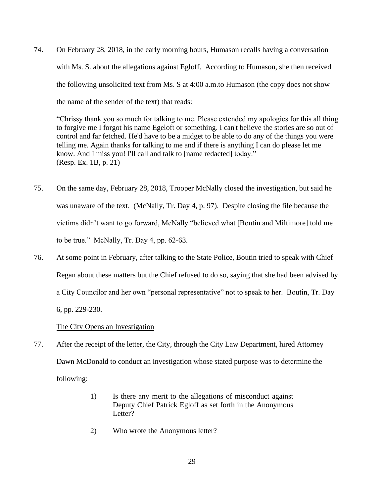74. On February 28, 2018, in the early morning hours, Humason recalls having a conversation with Ms. S. about the allegations against Egloff. According to Humason, she then received the following unsolicited text from Ms. S at 4:00 a.m.to Humason (the copy does not show the name of the sender of the text) that reads:

"Chrissy thank you so much for talking to me. Please extended my apologies for this all thing to forgive me I forgot his name Egeloft or something. I can't believe the stories are so out of control and far fetched. He'd have to be a midget to be able to do any of the things you were telling me. Again thanks for talking to me and if there is anything I can do please let me know. And I miss you! I'll call and talk to [name redacted] today." (Resp. Ex. 1B, p. 21)

- 75. On the same day, February 28, 2018, Trooper McNally closed the investigation, but said he was unaware of the text. (McNally, Tr. Day 4, p. 97). Despite closing the file because the victims didn't want to go forward, McNally "believed what [Boutin and Miltimore] told me to be true." McNally, Tr. Day 4, pp. 62-63.
- 76. At some point in February, after talking to the State Police, Boutin tried to speak with Chief Regan about these matters but the Chief refused to do so, saying that she had been advised by a City Councilor and her own "personal representative" not to speak to her. Boutin, Tr. Day 6, pp. 229-230.

# The City Opens an Investigation

- 77. After the receipt of the letter, the City, through the City Law Department, hired Attorney Dawn McDonald to conduct an investigation whose stated purpose was to determine the following:
	- 1) Is there any merit to the allegations of misconduct against Deputy Chief Patrick Egloff as set forth in the Anonymous Letter?
	- 2) Who wrote the Anonymous letter?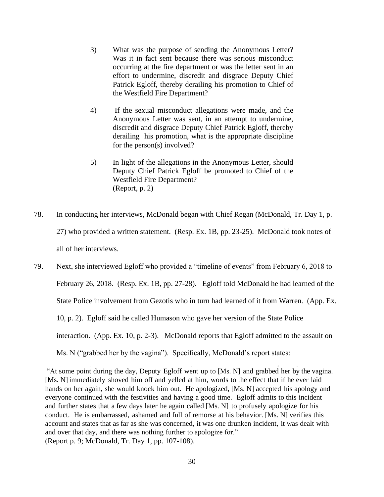- 3) What was the purpose of sending the Anonymous Letter? Was it in fact sent because there was serious misconduct occurring at the fire department or was the letter sent in an effort to undermine, discredit and disgrace Deputy Chief Patrick Egloff, thereby derailing his promotion to Chief of the Westfield Fire Department?
- 4) If the sexual misconduct allegations were made, and the Anonymous Letter was sent, in an attempt to undermine, discredit and disgrace Deputy Chief Patrick Egloff, thereby derailing his promotion, what is the appropriate discipline for the person(s) involved?
- 5) In light of the allegations in the Anonymous Letter, should Deputy Chief Patrick Egloff be promoted to Chief of the Westfield Fire Department? (Report, p. 2)
- 78. In conducting her interviews, McDonald began with Chief Regan (McDonald, Tr. Day 1, p. 27) who provided a written statement. (Resp. Ex. 1B, pp. 23-25). McDonald took notes of all of her interviews.

79. Next, she interviewed Egloff who provided a "timeline of events" from February 6, 2018 to February 26, 2018. (Resp. Ex. 1B, pp. 27-28). Egloff told McDonald he had learned of the State Police involvement from Gezotis who in turn had learned of it from Warren. (App. Ex. 10, p. 2). Egloff said he called Humason who gave her version of the State Police interaction. (App. Ex. 10, p. 2-3). McDonald reports that Egloff admitted to the assault on Ms. N ("grabbed her by the vagina"). Specifically, McDonald's report states:

"At some point during the day, Deputy Egloff went up to [Ms. N] and grabbed her by the vagina. [Ms. N] immediately shoved him off and yelled at him, words to the effect that if he ever laid hands on her again, she would knock him out. He apologized, [Ms. N] accepted his apology and everyone continued with the festivities and having a good time. Egloff admits to this incident and further states that a few days later he again called [Ms. N] to profusely apologize for his conduct. He is embarrassed, ashamed and full of remorse at his behavior. [Ms. N] verifies this account and states that as far as she was concerned, it was one drunken incident, it was dealt with and over that day, and there was nothing further to apologize for." (Report p. 9; McDonald, Tr. Day 1, pp. 107-108).

- - .. .L ...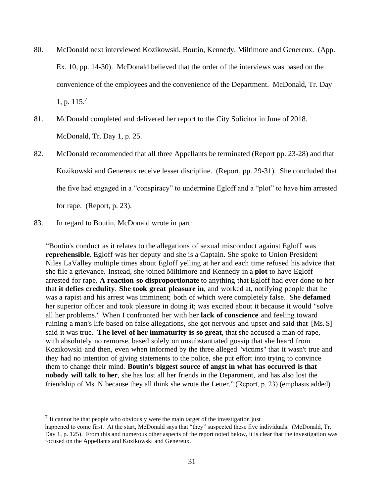- 80. McDonald next interviewed Kozikowski, Boutin, Kennedy, Miltimore and Genereux. (App. Ex. 10, pp. 14-30). McDonald believed that the order of the interviews was based on the convenience of the employees and the convenience of the Department. McDonald, Tr. Day 1, p.  $115.<sup>7</sup>$
- 81. McDonald completed and delivered her report to the City Solicitor in June of 2018. McDonald, Tr. Day 1, p. 25.
- 82. McDonald recommended that all three Appellants be terminated (Report pp. 23-28) and that Kozikowski and Genereux receive lesser discipline. (Report, pp. 29-31). She concluded that the five had engaged in a "conspiracy" to undermine Egloff and a "plot" to have him arrested for rape. (Report, p. 23).
- 83. In regard to Boutin, McDonald wrote in part:

"Boutin's conduct as it relates to the allegations of sexual misconduct against Egloff was **reprehensible**. Egloff was her deputy and she is a Captain. She spoke to Union President Niles LaValley multiple times about Egloff yelling at her and each time refused his advice that she file a grievance. Instead, she joined Miltimore and Kennedy in a **plot** to have Egloff arrested for rape. **A reaction so disproportionate** to anything that Egloff had ever done to her that **it defies credulity**. **She took great pleasure in**, and worked at, notifying people that he was a rapist and his arrest was imminent; both of which were completely false. She **defamed** her superior officer and took pleasure in doing it; was excited about it because it would "solve all her problems." When I confronted her with her **lack of conscience** and feeling toward ruining a man's life based on false allegations, she got nervous and upset and said that [Ms. S] said it was true. **The level of her immaturity is so great**, that she accused a man of rape, with absolutely no remorse, based solely on unsubstantiated gossip that she heard from Kozikowski and then, even when informed by the three alleged "victims" that it wasn't true and they had no intention of giving statements to the police, she put effort into trying to convince them to change their mind. **Boutin's biggest source of angst in what has occurred is that nobody will talk to her**, she has lost all her friends in the Department, and has also lost the friendship of Ms. N because they all think she wrote the Letter." (Report, p. 23) (emphasis added)

 $<sup>7</sup>$  It cannot be that people who obviously were the main target of the investigation just</sup>

happened to come first. At the start, McDonald says that "they" suspected these five individuals. (McDonald, Tr. Day 1, p. 125). From this and numerous other aspects of the report noted below, it is clear that the investigation was focused on the Appellants and Kozikowski and Genereux.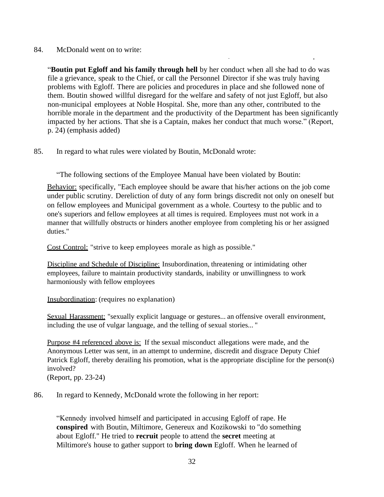## 84. McDonald went on to write:

"**Boutin put Egloff and his family through hell** by her conduct when all she had to do was file a grievance, speak to the Chief, or call the Personnel Director if she was truly having problems with Egloff. There are policies and procedures in place and she followed none of them. Boutin showed willful disregard for the welfare and safety of not just Egloff, but also non-municipal employees at Noble Hospital. She, more than any other, contributed to the horrible morale in the department and the productivity of the Department has been significantly impacted by her actions. That she is a Captain, makes her conduct that much worse." (Report, p. 24) (emphasis added)

- .

85. In regard to what rules were violated by Boutin, McDonald wrote:

"The following sections of the Employee Manual have been violated by Boutin:

Behavior: specifically, "Each employee should be aware that his/her actions on the job come under public scrutiny. Dereliction of duty of any form brings discredit not only on oneself but on fellow employees and Municipal government as a whole. Courtesy to the public and to one's superiors and fellow employees at all times is required. Employees must not work in a manner that willfully obstructs or hinders another employee from completing his or her assigned duties."

Cost Control: "strive to keep employees morale as high as possible."

Discipline and Schedule of Discipline: Insubordination, threatening or intimidating other employees, failure to maintain productivity standards, inability or unwillingness to work harmoniously with fellow employees

Insubordination: (requires no explanation)

Sexual Harassment: "sexually explicit language or gestures... an offensive overall environment, including the use of vulgar language, and the telling of sexual stories... "

Purpose #4 referenced above is: If the sexual misconduct allegations were made, and the Anonymous Letter was sent, in an attempt to undermine, discredit and disgrace Deputy Chief Patrick Egloff, thereby derailing his promotion, what is the appropriate discipline for the person(s) involved?

(Report, pp. 23-24)

86. In regard to Kennedy, McDonald wrote the following in her report:

"Kennedy involved himself and participated in accusing Egloff of rape. He **conspired** with Boutin, Miltimore, Genereux and Kozikowski to "do something about Egloff." He tried to **recruit** people to attend the **secret** meeting at Miltimore's house to gather support to **bring down** Egloff. When he learned of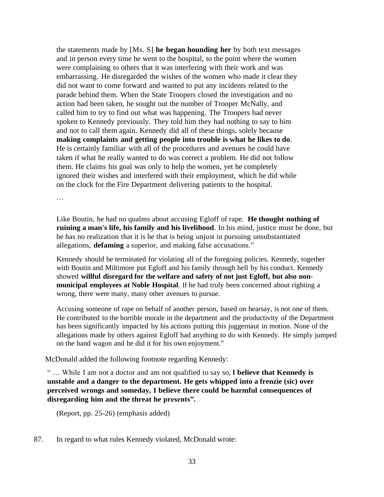the statements made by [Ms. S] **he began hounding her** by both text messages and in person every time he went to the hospital, to the point where the women were complaining to others that it was interfering with their work and was embarrassing. He disregarded the wishes of the women who made it clear they did not want to come forward and wanted to put any incidents related to the parade behind them. When the State Troopers closed the investigation and no action had been taken, he sought out the number of Trooper McNally, and called him to try to find out what was happening. The Troopers had never spoken to Kennedy previously. They told him they had nothing to say to him and not to call them again. Kennedy did all of these things, solely because **making complaints and getting people into trouble is what he likes to do**. He is certainly familiar with all of the procedures and avenues he could have taken if what he really wanted to do was correct a problem. He did not follow them. He claims his goal was only to help the women, yet he completely ignored their wishes and interfered with their employment, which he did while on the clock for the Fire Department delivering patients to the hospital.

…

Like Boutin, he had no qualms about accusing Egloff of rape. **He thought nothing of ruining a man's life, his family and his livelihood**. In his mind, justice must be done, but he has no realization that it is he that is being unjust in pursuing unsubstantiated allegations, **defaming** a superior, and making false accusations."

Kennedy should be terminated for violating all of the foregoing policies. Kennedy, together with Boutin and Miltimore put Egloff and his family through hell by his conduct. Kennedy showed **willful disregard for the welfare and safety of not just Egloff, but also nonmunicipal employees at Noble Hospital**. If he had truly been concerned about righting a wrong, there were many, many other avenues to pursue.

Accusing someone of rape on behalf of another person, based on hearsay, is not one of them. He contributed to the horrible morale in the department and the productivity of the Department has been significantly impacted by his actions putting this juggernaut in motion. None of the allegations made by others against Egloff had anything to do with Kennedy. He simply jumped on the band wagon and he did it for his own enjoyment."

McDonald added the following footnote regarding Kennedy:

" … While I am not a doctor and am not qualified to say so, **l believe that Kennedy is unstable and a danger to the department. He gets whipped into a frenzie (sic) over perceived wrongs and someday, I believe there could be harmful consequences of disregarding him and the threat he presents".**

(Report, pp. 25-26) (emphasis added)

87. In regard to what rules Kennedy violated, McDonald wrote: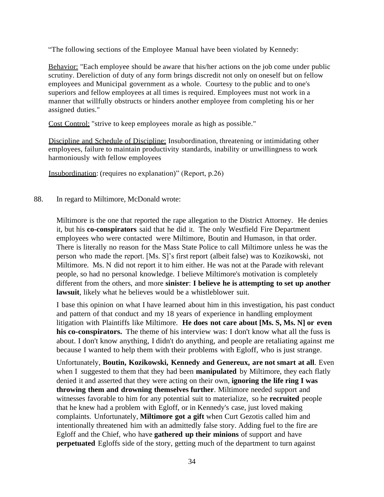"The following sections of the Employee Manual have been violated by Kennedy:

Behavior: "Each employee should be aware that his/her actions on the job come under public scrutiny. Dereliction of duty of any form brings discredit not only on oneself but on fellow employees and Municipal government as a whole. Courtesy to the public and to one's superiors and fellow employees at all times is required. Employees must not work in a manner that willfully obstructs or hinders another employee from completing his or her assigned duties."

Cost Control: "strive to keep employees morale as high as possible."

Discipline and Schedule of Discipline: Insubordination, threatening or intimidating other employees, failure to maintain productivity standards, inability or unwillingness to work harmoniously with fellow employees

Insubordination: (requires no explanation)" (Report, p.26)

88. In regard to Miltimore, McDonald wrote:

Miltimore is the one that reported the rape allegation to the District Attorney. He denies it, but his **co-conspirators** said that he did it. The only Westfield Fire Department employees who were contacted were Miltimore, Boutin and Humason, in that order. There is literally no reason for the Mass State Police to call Miltimore unless he was the person who made the report. [Ms. S]'s first report (albeit false) was to Kozikowski, not Miltimore. Ms. N did not report it to him either. He was not at the Parade with relevant people, so had no personal knowledge. I believe Miltimore's motivation is completely different from the others, and more **sinister**: **I believe he is attempting to set up another lawsuit**, likely what he believes would be a whistleblower suit.

I base this opinion on what I have learned about him in this investigation, his past conduct and pattern of that conduct and my 18 years of experience in handling employment litigation with Plaintiffs like Miltimore. **He does not care about [Ms. S, Ms. N] or even his co-conspirators.** The theme of his interview was: I don't know what all the fuss is about. I don't know anything, I didn't do anything, and people are retaliating against me because I wanted to help them with their problems with Egloff, who is just strange.

Unfortunately, **Boutin, Kozikowski, Kennedy and Genereux, are not smart at all**. Even when I suggested to them that they had been **manipulated** by Miltimore, they each flatly denied it and asserted that they were acting on their own, **ignoring the life ring I was throwing them and drowning themselves further**. Miltimore needed support and witnesses favorable to him for any potential suit to materialize, so he **recruited** people that he knew had a problem with Egloff, or in Kennedy's case, just loved making complaints. Unfortunately, **Miltimore got a gift** when Curt Gezotis called him and intentionally threatened him with an admittedly false story. Adding fuel to the fire are Egloff and the Chief, who have **gathered up their minions** of support and have **perpetuated** Egloffs side of the story, getting much of the department to turn against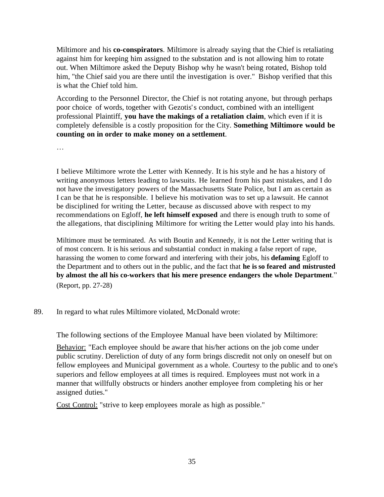Miltimore and his **co-conspirators**. Miltimore is already saying that the Chief is retaliating against him for keeping him assigned to the substation and is not allowing him to rotate out. When Miltimore asked the Deputy Bishop why he wasn't being rotated, Bishop told him, "the Chief said you are there until the investigation is over." Bishop verified that this is what the Chief told him.

According to the Personnel Director, the Chief is not rotating anyone, but through perhaps poor choice of words, together with Gezotis's conduct, combined with an intelligent professional Plaintiff, **you have the makings of a retaliation claim**, which even if it is completely defensible is a costly proposition for the City. **Something Miltimore would be counting on in order to make money on a settlement**.

…

I believe Miltimore wrote the Letter with Kennedy. It is his style and he has a history of writing anonymous letters leading to lawsuits. He learned from his past mistakes, and I do not have the investigatory powers of the Massachusetts State Police, but I am as certain as I can be that he is responsible. I believe his motivation was to set up a lawsuit. He cannot be disciplined for writing the Letter, because as discussed above with respect to my recommendations on Egloff, **he left himself exposed** and there is enough truth to some of the allegations, that disciplining Miltimore for writing the Letter would play into his hands.

Miltimore must be terminated. As with Boutin and Kennedy, it is not the Letter writing that is of most concern. It is his serious and substantial conduct in making a false report of rape, harassing the women to come forward and interfering with their jobs, his **defaming** Egloff to the Department and to others out in the public, and the fact that **he is so feared and mistrusted by almost the all his co-workers that his mere presence endangers the whole Department**." (Report, pp. 27-28)

# 89. In regard to what rules Miltimore violated, McDonald wrote:

The following sections of the Employee Manual have been violated by Miltimore:

Behavior: "Each employee should be aware that his/her actions on the job come under public scrutiny. Dereliction of duty of any form brings discredit not only on oneself but on fellow employees and Municipal government as a whole. Courtesy to the public and to one's superiors and fellow employees at all times is required. Employees must not work in a manner that willfully obstructs or hinders another employee from completing his or her assigned duties."

Cost Control: "strive to keep employees morale as high as possible."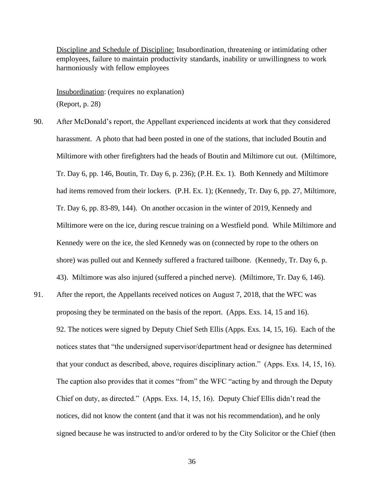Discipline and Schedule of Discipline: Insubordination, threatening or intimidating other employees, failure to maintain productivity standards, inability or unwillingness to work harmoniously with fellow employees

Insubordination: (requires no explanation) (Report, p. 28)

90. After McDonald's report, the Appellant experienced incidents at work that they considered harassment. A photo that had been posted in one of the stations, that included Boutin and Miltimore with other firefighters had the heads of Boutin and Miltimore cut out. (Miltimore, Tr. Day 6, pp. 146, Boutin, Tr. Day 6, p. 236); (P.H. Ex. 1). Both Kennedy and Miltimore had items removed from their lockers. (P.H. Ex. 1); (Kennedy, Tr. Day 6, pp. 27, Miltimore, Tr. Day 6, pp. 83-89, 144). On another occasion in the winter of 2019, Kennedy and Miltimore were on the ice, during rescue training on a Westfield pond. While Miltimore and Kennedy were on the ice, the sled Kennedy was on (connected by rope to the others on shore) was pulled out and Kennedy suffered a fractured tailbone. (Kennedy, Tr. Day 6, p. 43). Miltimore was also injured (suffered a pinched nerve). (Miltimore, Tr. Day 6, 146). 91. After the report, the Appellants received notices on August 7, 2018, that the WFC was proposing they be terminated on the basis of the report. (Apps. Exs. 14, 15 and 16). 92. The notices were signed by Deputy Chief Seth Ellis (Apps. Exs. 14, 15, 16). Each of the notices states that "the undersigned supervisor/department head or designee has determined that your conduct as described, above, requires disciplinary action." (Apps. Exs. 14, 15, 16). The caption also provides that it comes "from" the WFC "acting by and through the Deputy Chief on duty, as directed." (Apps. Exs. 14, 15, 16). Deputy Chief Ellis didn't read the notices, did not know the content (and that it was not his recommendation), and he only

signed because he was instructed to and/or ordered to by the City Solicitor or the Chief (then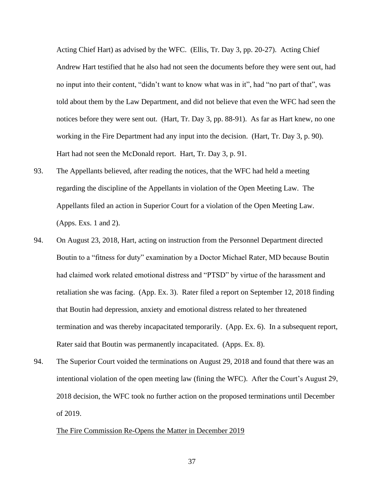Acting Chief Hart) as advised by the WFC. (Ellis, Tr. Day 3, pp. 20-27). Acting Chief Andrew Hart testified that he also had not seen the documents before they were sent out, had no input into their content, "didn't want to know what was in it", had "no part of that", was told about them by the Law Department, and did not believe that even the WFC had seen the notices before they were sent out. (Hart, Tr. Day 3, pp. 88-91). As far as Hart knew, no one working in the Fire Department had any input into the decision. (Hart, Tr. Day 3, p. 90). Hart had not seen the McDonald report. Hart, Tr. Day 3, p. 91.

- 93. The Appellants believed, after reading the notices, that the WFC had held a meeting regarding the discipline of the Appellants in violation of the Open Meeting Law. The Appellants filed an action in Superior Court for a violation of the Open Meeting Law. (Apps. Exs. 1 and 2).
- 94. On August 23, 2018, Hart, acting on instruction from the Personnel Department directed Boutin to a "fitness for duty" examination by a Doctor Michael Rater, MD because Boutin had claimed work related emotional distress and "PTSD" by virtue of the harassment and retaliation she was facing. (App. Ex. 3). Rater filed a report on September 12, 2018 finding that Boutin had depression, anxiety and emotional distress related to her threatened termination and was thereby incapacitated temporarily. (App. Ex. 6). In a subsequent report, Rater said that Boutin was permanently incapacitated. (Apps. Ex. 8).
- 94. The Superior Court voided the terminations on August 29, 2018 and found that there was an intentional violation of the open meeting law (fining the WFC). After the Court's August 29, 2018 decision, the WFC took no further action on the proposed terminations until December of 2019.

#### The Fire Commission Re-Opens the Matter in December 2019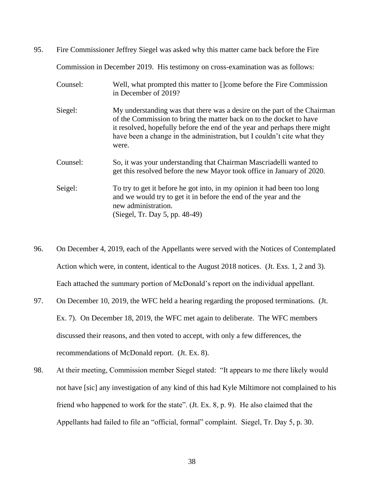95. Fire Commissioner Jeffrey Siegel was asked why this matter came back before the Fire

Commission in December 2019. His testimony on cross-examination was as follows:

- Counsel: Well, what prompted this matter to []come before the Fire Commission in December of 2019? Siegel: My understanding was that there was a desire on the part of the Chairman of the Commission to bring the matter back on to the docket to have it resolved, hopefully before the end of the year and perhaps there might have been a change in the administration, but I couldn't cite what they were. Counsel: So, it was your understanding that Chairman Mascriadelli wanted to get this resolved before the new Mayor took office in January of 2020. Seigel: To try to get it before he got into, in my opinion it had been too long and we would try to get it in before the end of the year and the new administration. (Siegel, Tr. Day 5, pp. 48-49)
- 96. On December 4, 2019, each of the Appellants were served with the Notices of Contemplated Action which were, in content, identical to the August 2018 notices. (Jt. Exs. 1, 2 and 3). Each attached the summary portion of McDonald's report on the individual appellant.
- 97. On December 10, 2019, the WFC held a hearing regarding the proposed terminations. (Jt. Ex. 7). On December 18, 2019, the WFC met again to deliberate. The WFC members discussed their reasons, and then voted to accept, with only a few differences, the recommendations of McDonald report. (Jt. Ex. 8).
- 98. At their meeting, Commission member Siegel stated: "It appears to me there likely would not have [sic] any investigation of any kind of this had Kyle Miltimore not complained to his friend who happened to work for the state". (Jt. Ex. 8, p. 9). He also claimed that the Appellants had failed to file an "official, formal" complaint. Siegel, Tr. Day 5, p. 30.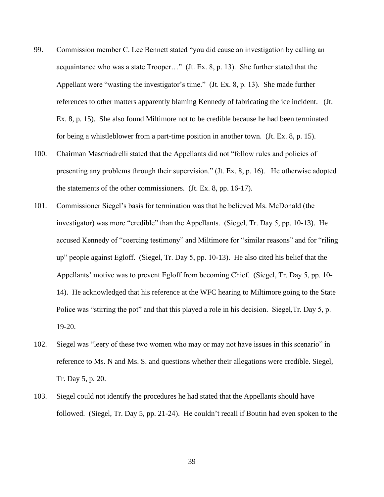- 99. Commission member C. Lee Bennett stated "you did cause an investigation by calling an acquaintance who was a state Trooper…" (Jt. Ex. 8, p. 13). She further stated that the Appellant were "wasting the investigator's time." (Jt. Ex. 8, p. 13). She made further references to other matters apparently blaming Kennedy of fabricating the ice incident. (Jt. Ex. 8, p. 15). She also found Miltimore not to be credible because he had been terminated for being a whistleblower from a part-time position in another town. (Jt. Ex. 8, p. 15).
- 100. Chairman Mascriadrelli stated that the Appellants did not "follow rules and policies of presenting any problems through their supervision." (Jt. Ex. 8, p. 16). He otherwise adopted the statements of the other commissioners. (Jt. Ex. 8, pp. 16-17).
- 101. Commissioner Siegel's basis for termination was that he believed Ms. McDonald (the investigator) was more "credible" than the Appellants. (Siegel, Tr. Day 5, pp. 10-13). He accused Kennedy of "coercing testimony" and Miltimore for "similar reasons" and for "riling up" people against Egloff. (Siegel, Tr. Day 5, pp. 10-13). He also cited his belief that the Appellants' motive was to prevent Egloff from becoming Chief. (Siegel, Tr. Day 5, pp. 10- 14). He acknowledged that his reference at the WFC hearing to Miltimore going to the State Police was "stirring the pot" and that this played a role in his decision. Siegel,Tr. Day 5, p. 19-20.
- 102. Siegel was "leery of these two women who may or may not have issues in this scenario" in reference to Ms. N and Ms. S. and questions whether their allegations were credible. Siegel, Tr. Day 5, p. 20.
- 103. Siegel could not identify the procedures he had stated that the Appellants should have followed. (Siegel, Tr. Day 5, pp. 21-24). He couldn't recall if Boutin had even spoken to the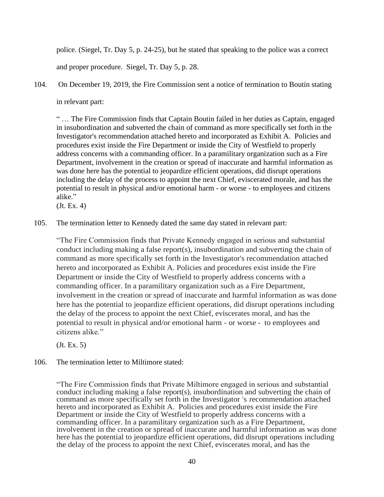police. (Siegel, Tr. Day 5, p. 24-25), but he stated that speaking to the police was a correct and proper procedure. Siegel, Tr. Day 5, p. 28.

104. On December 19, 2019, the Fire Commission sent a notice of termination to Boutin stating in relevant part:

" … The Fire Commission finds that Captain Boutin failed in her duties as Captain, engaged in insubordination and subverted the chain of command as more specifically set forth in the Investigator's recommendation attached hereto and incorporated as Exhibit A. Policies and procedures exist inside the Fire Department or inside the City of Westfield to properly address concerns with a commanding officer. In a paramilitary organization such as a Fire Department, involvement in the creation or spread of inaccurate and harmful information as was done here has the potential to jeopardize efficient operations, did disrupt operations including the delay of the process to appoint the next Chief, eviscerated morale, and has the potential to result in physical and/or emotional harm - or worse - to employees and citizens alike."

(Jt. Ex. 4)

105. The termination letter to Kennedy dated the same day stated in relevant part:

"The Fire Commission finds that Private Kennedy engaged in serious and substantial conduct including making a false report(s), insubordination and subverting the chain of command as more specifically set forth in the Investigator's recommendation attached hereto and incorporated as Exhibit A. Policies and procedures exist inside the Fire Department or inside the City of Westfield to properly address concerns with a commanding officer. In a paramilitary organization such as a Fire Department, involvement in the creation or spread of inaccurate and harmful information as was done here has the potential to jeopardize efficient operations, did disrupt operations including the delay of the process to appoint the next Chief, eviscerates moral, and has the potential to result in physical and/or emotional harm - or worse - to employees and citizens alike."

(Jt. Ex. 5)

106. The termination letter to Miltimore stated:

"The Fire Commission finds that Private Miltimore engaged in serious and substantial conduct including making a false report(s), insubordination and subverting the chain of command as more specifically set forth in the Investigator 's recommendation attached hereto and incorporated as Exhibit A. Policies and procedures exist inside the Fire Department or inside the City of Westfield to properly address concerns with a commanding officer. In a paramilitary organization such as a Fire Department, involvement in the creation or spread of inaccurate and harmful information as was done here has the potential to jeopardize efficient operations, did disrupt operations including the delay of the process to appoint the next Chief, eviscerates moral, and has the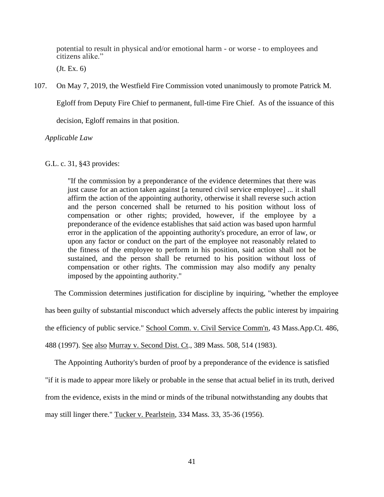potential to result in physical and/or emotional harm - or worse - to employees and citizens alike."

(Jt. Ex. 6)

107. On May 7, 2019, the Westfield Fire Commission voted unanimously to promote Patrick M.

Egloff from Deputy Fire Chief to permanent, full-time Fire Chief. As of the issuance of this

decision, Egloff remains in that position.

*Applicable Law*

G.L. c. 31, §43 provides:

"If the commission by a preponderance of the evidence determines that there was just cause for an action taken against [a tenured civil service employee] ... it shall affirm the action of the appointing authority, otherwise it shall reverse such action and the person concerned shall be returned to his position without loss of compensation or other rights; provided, however, if the employee by a preponderance of the evidence establishes that said action was based upon harmful error in the application of the appointing authority's procedure, an error of law, or upon any factor or conduct on the part of the employee not reasonably related to the fitness of the employee to perform in his position, said action shall not be sustained, and the person shall be returned to his position without loss of compensation or other rights. The commission may also modify any penalty imposed by the appointing authority."

 The Commission determines justification for discipline by inquiring, "whether the employee has been guilty of substantial misconduct which adversely affects the public interest by impairing the efficiency of public service." School Comm. v. Civil Service Comm'n*,* 43 Mass.App.Ct. 486, 488 (1997). See also Murray v. Second Dist. Ct., 389 Mass. 508, 514 (1983).

 The Appointing Authority's burden of proof by a preponderance of the evidence is satisfied "if it is made to appear more likely or probable in the sense that actual belief in its truth, derived from the evidence, exists in the mind or minds of the tribunal notwithstanding any doubts that may still linger there." Tucker v. Pearlstein*,* 334 Mass. 33, 35-36 (1956).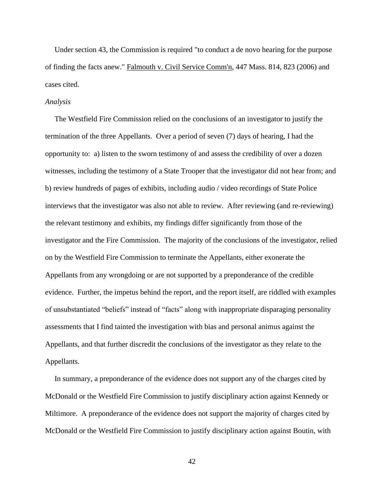Under section 43, the Commission is required "to conduct a de novo hearing for the purpose of finding the facts anew." Falmouth v. Civil Service Comm'n, 447 Mass. 814, 823 (2006) and cases cited.

#### *Analysis*

 The Westfield Fire Commission relied on the conclusions of an investigator to justify the termination of the three Appellants. Over a period of seven (7) days of hearing, I had the opportunity to: a) listen to the sworn testimony of and assess the credibility of over a dozen witnesses, including the testimony of a State Trooper that the investigator did not hear from; and b) review hundreds of pages of exhibits, including audio / video recordings of State Police interviews that the investigator was also not able to review. After reviewing (and re-reviewing) the relevant testimony and exhibits, my findings differ significantly from those of the investigator and the Fire Commission. The majority of the conclusions of the investigator, relied on by the Westfield Fire Commission to terminate the Appellants, either exonerate the Appellants from any wrongdoing or are not supported by a preponderance of the credible evidence. Further, the impetus behind the report, and the report itself, are riddled with examples of unsubstantiated "beliefs" instead of "facts" along with inappropriate disparaging personality assessments that I find tainted the investigation with bias and personal animus against the Appellants, and that further discredit the conclusions of the investigator as they relate to the Appellants.

 In summary, a preponderance of the evidence does not support any of the charges cited by McDonald or the Westfield Fire Commission to justify disciplinary action against Kennedy or Miltimore. A preponderance of the evidence does not support the majority of charges cited by McDonald or the Westfield Fire Commission to justify disciplinary action against Boutin, with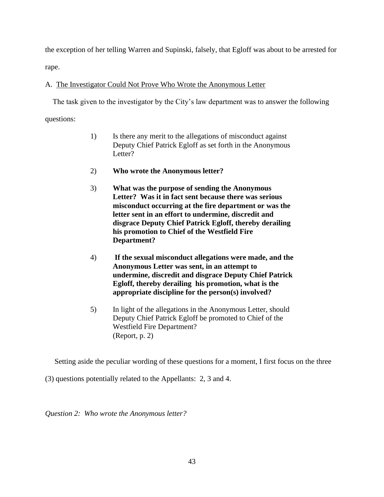the exception of her telling Warren and Supinski, falsely, that Egloff was about to be arrested for rape.

# A. The Investigator Could Not Prove Who Wrote the Anonymous Letter

 The task given to the investigator by the City's law department was to answer the following questions:

- 1) Is there any merit to the allegations of misconduct against Deputy Chief Patrick Egloff as set forth in the Anonymous Letter?
- 2) **Who wrote the Anonymous letter?**
- 3) **What was the purpose of sending the Anonymous Letter? Was it in fact sent because there was serious misconduct occurring at the fire department or was the letter sent in an effort to undermine, discredit and disgrace Deputy Chief Patrick Egloff, thereby derailing his promotion to Chief of the Westfield Fire Department?**
- 4) **If the sexual misconduct allegations were made, and the Anonymous Letter was sent, in an attempt to undermine, discredit and disgrace Deputy Chief Patrick Egloff, thereby derailing his promotion, what is the appropriate discipline for the person(s) involved?**
- 5) In light of the allegations in the Anonymous Letter, should Deputy Chief Patrick Egloff be promoted to Chief of the Westfield Fire Department? (Report, p. 2)

Setting aside the peculiar wording of these questions for a moment, I first focus on the three

(3) questions potentially related to the Appellants: 2, 3 and 4.

*Question 2: Who wrote the Anonymous letter?*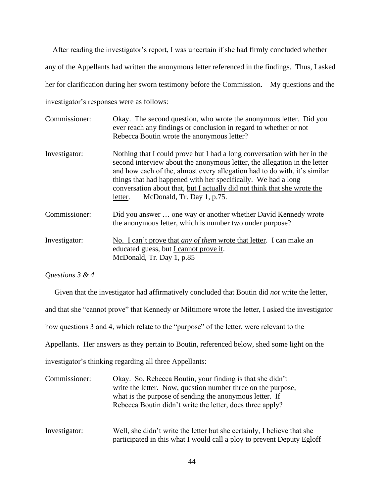After reading the investigator's report, I was uncertain if she had firmly concluded whether any of the Appellants had written the anonymous letter referenced in the findings. Thus, I asked her for clarification during her sworn testimony before the Commission. My questions and the investigator's responses were as follows:

| Commissioner: | Okay. The second question, who wrote the anonymous letter. Did you<br>ever reach any findings or conclusion in regard to whether or not<br>Rebecca Boutin wrote the anonymous letter?                                                                                                                                                                                                                                    |
|---------------|--------------------------------------------------------------------------------------------------------------------------------------------------------------------------------------------------------------------------------------------------------------------------------------------------------------------------------------------------------------------------------------------------------------------------|
| Investigator: | Nothing that I could prove but I had a long conversation with her in the<br>second interview about the anonymous letter, the allegation in the letter<br>and how each of the, almost every allegation had to do with, it's similar<br>things that had happened with her specifically. We had a long<br>conversation about that, but I actually did not think that she wrote the<br>McDonald, Tr. Day 1, p.75.<br>letter. |
| Commissioner: | Did you answer  one way or another whether David Kennedy wrote<br>the anonymous letter, which is number two under purpose?                                                                                                                                                                                                                                                                                               |
| Investigator: | No. I can't prove that <i>any of them</i> wrote that letter. I can make an<br>educated guess, but I cannot prove it.<br>McDonald, Tr. Day 1, p.85                                                                                                                                                                                                                                                                        |

#### *Questions 3 & 4*

 Given that the investigator had affirmatively concluded that Boutin did *not* write the letter, and that she "cannot prove" that Kennedy or Miltimore wrote the letter, I asked the investigator how questions 3 and 4, which relate to the "purpose" of the letter, were relevant to the Appellants. Her answers as they pertain to Boutin, referenced below, shed some light on the investigator's thinking regarding all three Appellants: Commissioner: Okay. So, Rebecca Boutin, your finding is that she didn't

write the letter. Now, question number three on the purpose, what is the purpose of sending the anonymous letter. If Rebecca Boutin didn't write the letter, does three apply?

Investigator: Well, she didn't write the letter but she certainly, I believe that she participated in this what I would call a ploy to prevent Deputy Egloff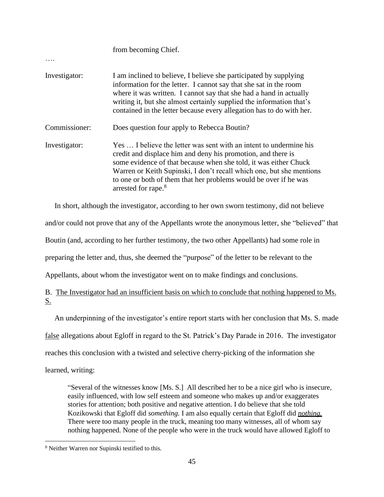|               | from becoming Chief.                                                                                                                                                                                                                                                                                                                                                                  |
|---------------|---------------------------------------------------------------------------------------------------------------------------------------------------------------------------------------------------------------------------------------------------------------------------------------------------------------------------------------------------------------------------------------|
| Investigator: | I am inclined to believe, I believe she participated by supplying<br>information for the letter. I cannot say that she sat in the room<br>where it was written. I cannot say that she had a hand in actually<br>writing it, but she almost certainly supplied the information that's<br>contained in the letter because every allegation has to do with her.                          |
| Commissioner: | Does question four apply to Rebecca Boutin?                                                                                                                                                                                                                                                                                                                                           |
| Investigator: | Yes  I believe the letter was sent with an intent to undermine his<br>credit and displace him and deny his promotion, and there is<br>some evidence of that because when she told, it was either Chuck<br>Warren or Keith Supinski, I don't recall which one, but she mentions<br>to one or both of them that her problems would be over if he was<br>arrested for rape. <sup>8</sup> |

In short, although the investigator, according to her own sworn testimony, did not believe

and/or could not prove that any of the Appellants wrote the anonymous letter, she "believed" that

Boutin (and, according to her further testimony, the two other Appellants) had some role in

preparing the letter and, thus, she deemed the "purpose" of the letter to be relevant to the

Appellants, about whom the investigator went on to make findings and conclusions.

B. The Investigator had an insufficient basis on which to conclude that nothing happened to Ms. S.

An underpinning of the investigator's entire report starts with her conclusion that Ms. S. made

false allegations about Egloff in regard to the St. Patrick's Day Parade in 2016. The investigator

reaches this conclusion with a twisted and selective cherry-picking of the information she

learned, writing:

"Several of the witnesses know [Ms. S.] All described her to be a nice girl who is insecure, easily influenced, with low self esteem and someone who makes up and/or exaggerates stories for attention; both positive and negative attention. I do believe that she told Kozikowski that Egloff did *something.* I am also equally certain that Egloff did *nothing.* There were too many people in the truck, meaning too many witnesses, all of whom say nothing happened. None of the people who were in the truck would have allowed Egloff to

<sup>8</sup> Neither Warren nor Supinski testified to this.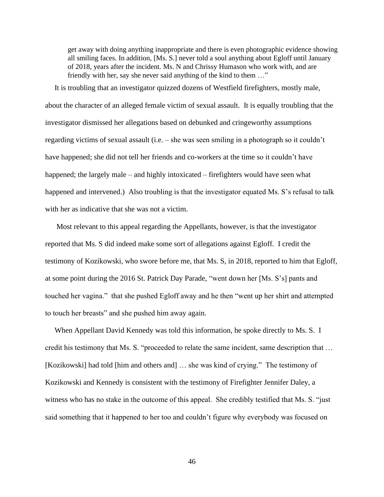get away with doing anything inappropriate and there is even photographic evidence showing all smiling faces. In addition, [Ms. S.] never told a soul anything about Egloff until January of 2018, years after the incident. Ms. N and Chrissy Humason who work with, and are friendly with her, say she never said anything of the kind to them …"

 It is troubling that an investigator quizzed dozens of Westfield firefighters, mostly male, about the character of an alleged female victim of sexual assault. It is equally troubling that the investigator dismissed her allegations based on debunked and cringeworthy assumptions regarding victims of sexual assault (i.e. – she was seen smiling in a photograph so it couldn't have happened; she did not tell her friends and co-workers at the time so it couldn't have happened; the largely male – and highly intoxicated – firefighters would have seen what happened and intervened.) Also troubling is that the investigator equated Ms. S's refusal to talk with her as indicative that she was not a victim.

 Most relevant to this appeal regarding the Appellants, however, is that the investigator reported that Ms. S did indeed make some sort of allegations against Egloff. I credit the testimony of Kozikowski, who swore before me, that Ms. S, in 2018, reported to him that Egloff, at some point during the 2016 St. Patrick Day Parade, "went down her [Ms. S's] pants and touched her vagina." that she pushed Egloff away and he then "went up her shirt and attempted to touch her breasts" and she pushed him away again.

 When Appellant David Kennedy was told this information, he spoke directly to Ms. S. I credit his testimony that Ms. S. "proceeded to relate the same incident, same description that … [Kozikowski] had told [him and others and] … she was kind of crying." The testimony of Kozikowski and Kennedy is consistent with the testimony of Firefighter Jennifer Daley, a witness who has no stake in the outcome of this appeal. She credibly testified that Ms. S. "just said something that it happened to her too and couldn't figure why everybody was focused on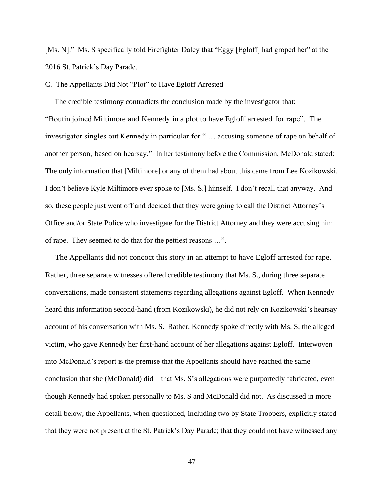[Ms. N]." Ms. S specifically told Firefighter Daley that "Eggy [Egloff] had groped her" at the 2016 St. Patrick's Day Parade.

#### C. The Appellants Did Not "Plot" to Have Egloff Arrested

 The credible testimony contradicts the conclusion made by the investigator that: "Boutin joined Miltimore and Kennedy in a plot to have Egloff arrested for rape". The investigator singles out Kennedy in particular for " … accusing someone of rape on behalf of another person, based on hearsay." In her testimony before the Commission, McDonald stated: The only information that [Miltimore] or any of them had about this came from Lee Kozikowski. I don't believe Kyle Miltimore ever spoke to [Ms. S.] himself. I don't recall that anyway. And so, these people just went off and decided that they were going to call the District Attorney's Office and/or State Police who investigate for the District Attorney and they were accusing him of rape. They seemed to do that for the pettiest reasons …".

 The Appellants did not concoct this story in an attempt to have Egloff arrested for rape. Rather, three separate witnesses offered credible testimony that Ms. S., during three separate conversations, made consistent statements regarding allegations against Egloff. When Kennedy heard this information second-hand (from Kozikowski), he did not rely on Kozikowski's hearsay account of his conversation with Ms. S. Rather, Kennedy spoke directly with Ms. S, the alleged victim, who gave Kennedy her first-hand account of her allegations against Egloff. Interwoven into McDonald's report is the premise that the Appellants should have reached the same conclusion that she (McDonald) did – that Ms. S's allegations were purportedly fabricated, even though Kennedy had spoken personally to Ms. S and McDonald did not. As discussed in more detail below, the Appellants, when questioned, including two by State Troopers, explicitly stated that they were not present at the St. Patrick's Day Parade; that they could not have witnessed any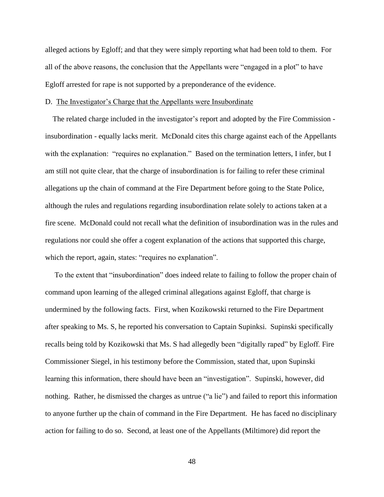alleged actions by Egloff; and that they were simply reporting what had been told to them. For all of the above reasons, the conclusion that the Appellants were "engaged in a plot" to have Egloff arrested for rape is not supported by a preponderance of the evidence.

#### D. The Investigator's Charge that the Appellants were Insubordinate

 The related charge included in the investigator's report and adopted by the Fire Commission insubordination - equally lacks merit. McDonald cites this charge against each of the Appellants with the explanation: "requires no explanation." Based on the termination letters, I infer, but I am still not quite clear, that the charge of insubordination is for failing to refer these criminal allegations up the chain of command at the Fire Department before going to the State Police, although the rules and regulations regarding insubordination relate solely to actions taken at a fire scene. McDonald could not recall what the definition of insubordination was in the rules and regulations nor could she offer a cogent explanation of the actions that supported this charge, which the report, again, states: "requires no explanation".

 To the extent that "insubordination" does indeed relate to failing to follow the proper chain of command upon learning of the alleged criminal allegations against Egloff, that charge is undermined by the following facts. First, when Kozikowski returned to the Fire Department after speaking to Ms. S, he reported his conversation to Captain Supinksi. Supinski specifically recalls being told by Kozikowski that Ms. S had allegedly been "digitally raped" by Egloff. Fire Commissioner Siegel, in his testimony before the Commission, stated that, upon Supinski learning this information, there should have been an "investigation". Supinski, however, did nothing. Rather, he dismissed the charges as untrue ("a lie") and failed to report this information to anyone further up the chain of command in the Fire Department. He has faced no disciplinary action for failing to do so. Second, at least one of the Appellants (Miltimore) did report the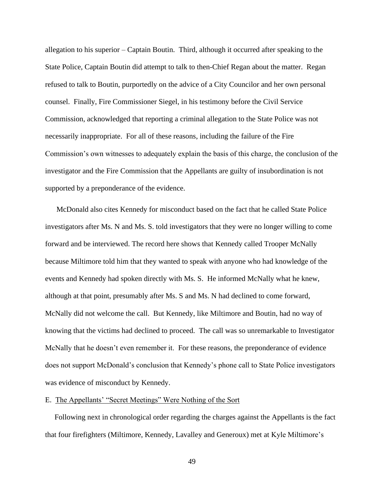allegation to his superior – Captain Boutin. Third, although it occurred after speaking to the State Police, Captain Boutin did attempt to talk to then-Chief Regan about the matter. Regan refused to talk to Boutin, purportedly on the advice of a City Councilor and her own personal counsel. Finally, Fire Commissioner Siegel, in his testimony before the Civil Service Commission, acknowledged that reporting a criminal allegation to the State Police was not necessarily inappropriate. For all of these reasons, including the failure of the Fire Commission's own witnesses to adequately explain the basis of this charge, the conclusion of the investigator and the Fire Commission that the Appellants are guilty of insubordination is not supported by a preponderance of the evidence.

 McDonald also cites Kennedy for misconduct based on the fact that he called State Police investigators after Ms. N and Ms. S. told investigators that they were no longer willing to come forward and be interviewed. The record here shows that Kennedy called Trooper McNally because Miltimore told him that they wanted to speak with anyone who had knowledge of the events and Kennedy had spoken directly with Ms. S. He informed McNally what he knew, although at that point, presumably after Ms. S and Ms. N had declined to come forward, McNally did not welcome the call. But Kennedy, like Miltimore and Boutin, had no way of knowing that the victims had declined to proceed. The call was so unremarkable to Investigator McNally that he doesn't even remember it. For these reasons, the preponderance of evidence does not support McDonald's conclusion that Kennedy's phone call to State Police investigators was evidence of misconduct by Kennedy.

#### E. The Appellants' "Secret Meetings" Were Nothing of the Sort

 Following next in chronological order regarding the charges against the Appellants is the fact that four firefighters (Miltimore, Kennedy, Lavalley and Generoux) met at Kyle Miltimore's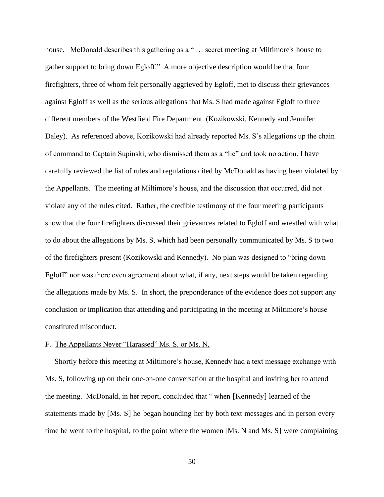house. McDonald describes this gathering as a "... secret meeting at Miltimore's house to gather support to bring down Egloff." A more objective description would be that four firefighters, three of whom felt personally aggrieved by Egloff, met to discuss their grievances against Egloff as well as the serious allegations that Ms. S had made against Egloff to three different members of the Westfield Fire Department. (Kozikowski, Kennedy and Jennifer Daley). As referenced above, Kozikowski had already reported Ms. S's allegations up the chain of command to Captain Supinski, who dismissed them as a "lie" and took no action. I have carefully reviewed the list of rules and regulations cited by McDonald as having been violated by the Appellants. The meeting at Miltimore's house, and the discussion that occurred, did not violate any of the rules cited. Rather, the credible testimony of the four meeting participants show that the four firefighters discussed their grievances related to Egloff and wrestled with what to do about the allegations by Ms. S, which had been personally communicated by Ms. S to two of the firefighters present (Kozikowski and Kennedy). No plan was designed to "bring down Egloff" nor was there even agreement about what, if any, next steps would be taken regarding the allegations made by Ms. S. In short, the preponderance of the evidence does not support any conclusion or implication that attending and participating in the meeting at Miltimore's house constituted misconduct.

#### F. The Appellants Never "Harassed" Ms. S. or Ms. N.

 Shortly before this meeting at Miltimore's house, Kennedy had a text message exchange with Ms. S, following up on their one-on-one conversation at the hospital and inviting her to attend the meeting. McDonald, in her report, concluded that " when [Kennedy] learned of the statements made by [Ms. S] he began hounding her by both text messages and in person every time he went to the hospital, to the point where the women [Ms. N and Ms. S] were complaining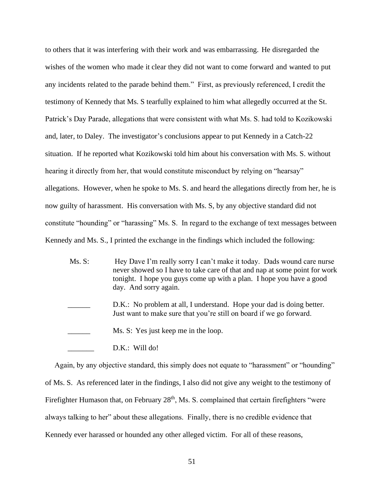to others that it was interfering with their work and was embarrassing. He disregarded the wishes of the women who made it clear they did not want to come forward and wanted to put any incidents related to the parade behind them." First, as previously referenced, I credit the testimony of Kennedy that Ms. S tearfully explained to him what allegedly occurred at the St. Patrick's Day Parade, allegations that were consistent with what Ms. S. had told to Kozikowski and, later, to Daley. The investigator's conclusions appear to put Kennedy in a Catch-22 situation. If he reported what Kozikowski told him about his conversation with Ms. S. without hearing it directly from her, that would constitute misconduct by relying on "hearsay" allegations. However, when he spoke to Ms. S. and heard the allegations directly from her, he is now guilty of harassment. His conversation with Ms. S, by any objective standard did not constitute "hounding" or "harassing" Ms. S. In regard to the exchange of text messages between Kennedy and Ms. S., I printed the exchange in the findings which included the following:

Ms. S: Hey Dave I'm really sorry I can't make it today. Dads wound care nurse never showed so I have to take care of that and nap at some point for work tonight. I hope you guys come up with a plan. I hope you have a good day. And sorry again. D.K.: No problem at all, I understand. Hope your dad is doing better. Just want to make sure that you're still on board if we go forward. Ms. S: Yes just keep me in the loop. D.K.: Will do!

Again, by any objective standard, this simply does not equate to "harassment" or "hounding" of Ms. S. As referenced later in the findings, I also did not give any weight to the testimony of Firefighter Humason that, on February 28<sup>th</sup>, Ms. S. complained that certain firefighters "were always talking to her" about these allegations. Finally, there is no credible evidence that Kennedy ever harassed or hounded any other alleged victim. For all of these reasons,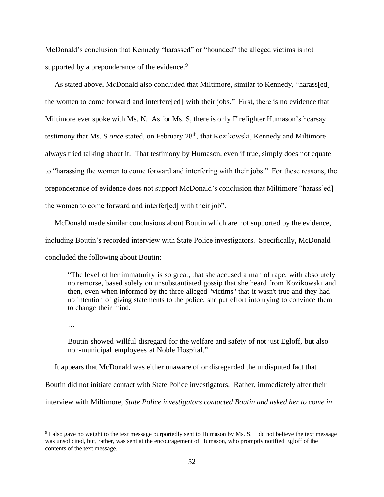McDonald's conclusion that Kennedy "harassed" or "hounded" the alleged victims is not supported by a preponderance of the evidence.<sup>9</sup>

 As stated above, McDonald also concluded that Miltimore, similar to Kennedy, "harass[ed] the women to come forward and interfere[ed] with their jobs." First, there is no evidence that Miltimore ever spoke with Ms. N. As for Ms. S, there is only Firefighter Humason's hearsay testimony that Ms. S *once* stated, on February 28<sup>th</sup>, that Kozikowski, Kennedy and Miltimore always tried talking about it. That testimony by Humason, even if true, simply does not equate to "harassing the women to come forward and interfering with their jobs." For these reasons, the preponderance of evidence does not support McDonald's conclusion that Miltimore "harass[ed] the women to come forward and interfer[ed] with their job".

 McDonald made similar conclusions about Boutin which are not supported by the evidence, including Boutin's recorded interview with State Police investigators. Specifically, McDonald concluded the following about Boutin:

"The level of her immaturity is so great, that she accused a man of rape, with absolutely no remorse, based solely on unsubstantiated gossip that she heard from Kozikowski and then, even when informed by the three alleged "victims" that it wasn't true and they had no intention of giving statements to the police, she put effort into trying to convince them to change their mind.

…

Boutin showed willful disregard for the welfare and safety of not just Egloff, but also non-municipal employees at Noble Hospital."

It appears that McDonald was either unaware of or disregarded the undisputed fact that

Boutin did not initiate contact with State Police investigators. Rather, immediately after their

interview with Miltimore, *State Police investigators contacted Boutin and asked her to come in* 

<sup>&</sup>lt;sup>9</sup> I also gave no weight to the text message purportedly sent to Humason by Ms. S. I do not believe the text message was unsolicited, but, rather, was sent at the encouragement of Humason, who promptly notified Egloff of the contents of the text message.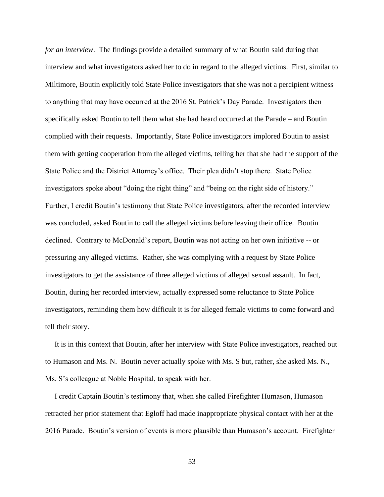*for an interview*. The findings provide a detailed summary of what Boutin said during that interview and what investigators asked her to do in regard to the alleged victims. First, similar to Miltimore, Boutin explicitly told State Police investigators that she was not a percipient witness to anything that may have occurred at the 2016 St. Patrick's Day Parade. Investigators then specifically asked Boutin to tell them what she had heard occurred at the Parade – and Boutin complied with their requests. Importantly, State Police investigators implored Boutin to assist them with getting cooperation from the alleged victims, telling her that she had the support of the State Police and the District Attorney's office. Their plea didn't stop there. State Police investigators spoke about "doing the right thing" and "being on the right side of history." Further, I credit Boutin's testimony that State Police investigators, after the recorded interview was concluded, asked Boutin to call the alleged victims before leaving their office. Boutin declined. Contrary to McDonald's report, Boutin was not acting on her own initiative -- or pressuring any alleged victims. Rather, she was complying with a request by State Police investigators to get the assistance of three alleged victims of alleged sexual assault. In fact, Boutin, during her recorded interview, actually expressed some reluctance to State Police investigators, reminding them how difficult it is for alleged female victims to come forward and tell their story.

 It is in this context that Boutin, after her interview with State Police investigators, reached out to Humason and Ms. N. Boutin never actually spoke with Ms. S but, rather, she asked Ms. N., Ms. S's colleague at Noble Hospital, to speak with her.

 I credit Captain Boutin's testimony that, when she called Firefighter Humason, Humason retracted her prior statement that Egloff had made inappropriate physical contact with her at the 2016 Parade. Boutin's version of events is more plausible than Humason's account. Firefighter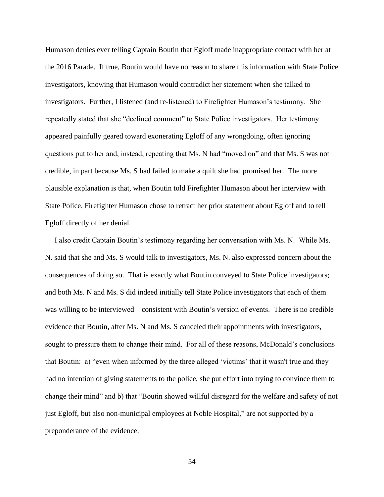Humason denies ever telling Captain Boutin that Egloff made inappropriate contact with her at the 2016 Parade. If true, Boutin would have no reason to share this information with State Police investigators, knowing that Humason would contradict her statement when she talked to investigators. Further, I listened (and re-listened) to Firefighter Humason's testimony. She repeatedly stated that she "declined comment" to State Police investigators. Her testimony appeared painfully geared toward exonerating Egloff of any wrongdoing, often ignoring questions put to her and, instead, repeating that Ms. N had "moved on" and that Ms. S was not credible, in part because Ms. S had failed to make a quilt she had promised her. The more plausible explanation is that, when Boutin told Firefighter Humason about her interview with State Police, Firefighter Humason chose to retract her prior statement about Egloff and to tell Egloff directly of her denial.

 I also credit Captain Boutin's testimony regarding her conversation with Ms. N. While Ms. N. said that she and Ms. S would talk to investigators, Ms. N. also expressed concern about the consequences of doing so. That is exactly what Boutin conveyed to State Police investigators; and both Ms. N and Ms. S did indeed initially tell State Police investigators that each of them was willing to be interviewed – consistent with Boutin's version of events. There is no credible evidence that Boutin, after Ms. N and Ms. S canceled their appointments with investigators, sought to pressure them to change their mind. For all of these reasons, McDonald's conclusions that Boutin: a) "even when informed by the three alleged 'victims' that it wasn't true and they had no intention of giving statements to the police, she put effort into trying to convince them to change their mind" and b) that "Boutin showed willful disregard for the welfare and safety of not just Egloff, but also non-municipal employees at Noble Hospital," are not supported by a preponderance of the evidence.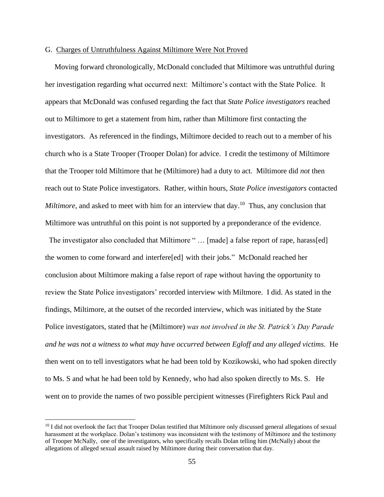#### G. Charges of Untruthfulness Against Miltimore Were Not Proved

 Moving forward chronologically, McDonald concluded that Miltimore was untruthful during her investigation regarding what occurred next: Miltimore's contact with the State Police. It appears that McDonald was confused regarding the fact that *State Police investigators* reached out to Miltimore to get a statement from him, rather than Miltimore first contacting the investigators. As referenced in the findings, Miltimore decided to reach out to a member of his church who is a State Trooper (Trooper Dolan) for advice. I credit the testimony of Miltimore that the Trooper told Miltimore that he (Miltimore) had a duty to act. Miltimore did *not* then reach out to State Police investigators. Rather, within hours, *State Police investigators* contacted Miltimore, and asked to meet with him for an interview that day.<sup>10</sup> Thus, any conclusion that Miltimore was untruthful on this point is not supported by a preponderance of the evidence.

The investigator also concluded that Miltimore " ... [made] a false report of rape, harass[ed] the women to come forward and interfere[ed] with their jobs." McDonald reached her conclusion about Miltimore making a false report of rape without having the opportunity to review the State Police investigators' recorded interview with Miltmore. I did. As stated in the findings, Miltimore, at the outset of the recorded interview, which was initiated by the State Police investigators, stated that he (Miltimore) *was not involved in the St. Patrick's Day Parade and he was not a witness to what may have occurred between Egloff and any alleged victims*. He then went on to tell investigators what he had been told by Kozikowski, who had spoken directly to Ms. S and what he had been told by Kennedy, who had also spoken directly to Ms. S. He went on to provide the names of two possible percipient witnesses (Firefighters Rick Paul and

 $10$  I did not overlook the fact that Trooper Dolan testified that Miltimore only discussed general allegations of sexual harassment at the workplace. Dolan's testimony was inconsistent with the testimony of Miltimore and the testimony of Trooper McNally, one of the investigators, who specifically recalls Dolan telling him (McNally) about the allegations of alleged sexual assault raised by Miltimore during their conversation that day.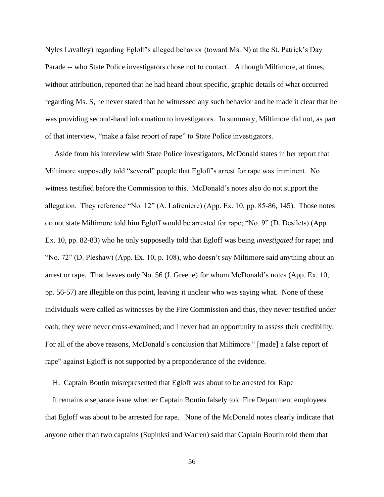Nyles Lavalley) regarding Egloff's alleged behavior (toward Ms. N) at the St. Patrick's Day Parade -- who State Police investigators chose not to contact. Although Miltimore, at times, without attribution, reported that he had heard about specific, graphic details of what occurred regarding Ms. S, he never stated that he witnessed any such behavior and he made it clear that he was providing second-hand information to investigators. In summary, Miltimore did not, as part of that interview, "make a false report of rape" to State Police investigators.

 Aside from his interview with State Police investigators, McDonald states in her report that Miltimore supposedly told "several" people that Egloff's arrest for rape was imminent. No witness testified before the Commission to this. McDonald's notes also do not support the allegation. They reference "No. 12" (A. Lafreniere) (App. Ex. 10, pp. 85-86, 145). Those notes do not state Miltimore told him Egloff would be arrested for rape; "No. 9" (D. Desilets) (App. Ex. 10, pp. 82-83) who he only supposedly told that Egloff was being *investigated* for rape; and "No. 72" (D. Pleshaw) (App. Ex. 10, p. 108), who doesn't say Miltimore said anything about an arrest or rape. That leaves only No. 56 (J. Greene) for whom McDonald's notes (App. Ex. 10, pp. 56-57) are illegible on this point, leaving it unclear who was saying what. None of these individuals were called as witnesses by the Fire Commission and thus, they never testified under oath; they were never cross-examined; and I never had an opportunity to assess their credibility. For all of the above reasons, McDonald's conclusion that Miltimore " [made] a false report of rape" against Egloff is not supported by a preponderance of the evidence.

#### H. Captain Boutin misrepresented that Egloff was about to be arrested for Rape

 It remains a separate issue whether Captain Boutin falsely told Fire Department employees that Egloff was about to be arrested for rape. None of the McDonald notes clearly indicate that anyone other than two captains (Supinksi and Warren) said that Captain Boutin told them that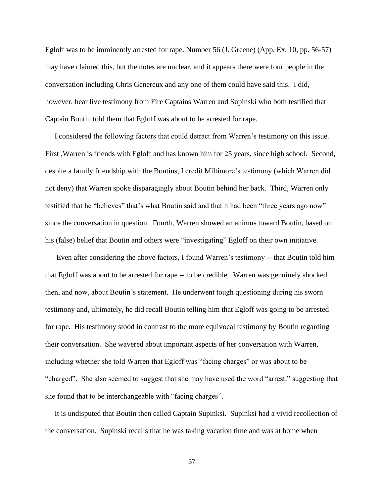Egloff was to be imminently arrested for rape. Number 56 (J. Greene) (App. Ex. 10, pp. 56-57) may have claimed this, but the notes are unclear, and it appears there were four people in the conversation including Chris Genereux and any one of them could have said this. I did, however, hear live testimony from Fire Captains Warren and Supinski who both testified that Captain Boutin told them that Egloff was about to be arrested for rape.

 I considered the following factors that could detract from Warren's testimony on this issue. First ,Warren is friends with Egloff and has known him for 25 years, since high school. Second, despite a family friendship with the Boutins, I credit Miltimore's testimony (which Warren did not deny) that Warren spoke disparagingly about Boutin behind her back. Third, Warren only testified that he "believes" that's what Boutin said and that it had been "three years ago now" since the conversation in question. Fourth, Warren showed an animus toward Boutin, based on his (false) belief that Boutin and others were "investigating" Egloff on their own initiative.

 Even after considering the above factors, I found Warren's testimony -- that Boutin told him that Egloff was about to be arrested for rape -- to be credible. Warren was genuinely shocked then, and now, about Boutin's statement. He underwent tough questioning during his sworn testimony and, ultimately, he did recall Boutin telling him that Egloff was going to be arrested for rape. His testimony stood in contrast to the more equivocal testimony by Boutin regarding their conversation. She wavered about important aspects of her conversation with Warren, including whether she told Warren that Egloff was "facing charges" or was about to be "charged". She also seemed to suggest that she may have used the word "arrest," suggesting that she found that to be interchangeable with "facing charges".

 It is undisputed that Boutin then called Captain Supinksi. Supinksi had a vivid recollection of the conversation. Supinski recalls that he was taking vacation time and was at home when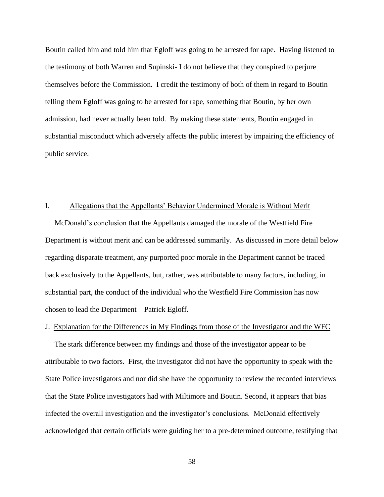Boutin called him and told him that Egloff was going to be arrested for rape. Having listened to the testimony of both Warren and Supinski- I do not believe that they conspired to perjure themselves before the Commission. I credit the testimony of both of them in regard to Boutin telling them Egloff was going to be arrested for rape, something that Boutin, by her own admission, had never actually been told. By making these statements, Boutin engaged in substantial misconduct which adversely affects the public interest by impairing the efficiency of public service.

#### I. Allegations that the Appellants' Behavior Undermined Morale is Without Merit

 McDonald's conclusion that the Appellants damaged the morale of the Westfield Fire Department is without merit and can be addressed summarily. As discussed in more detail below regarding disparate treatment, any purported poor morale in the Department cannot be traced back exclusively to the Appellants, but, rather, was attributable to many factors, including, in substantial part, the conduct of the individual who the Westfield Fire Commission has now chosen to lead the Department – Patrick Egloff.

#### J. Explanation for the Differences in My Findings from those of the Investigator and the WFC

 The stark difference between my findings and those of the investigator appear to be attributable to two factors. First, the investigator did not have the opportunity to speak with the State Police investigators and nor did she have the opportunity to review the recorded interviews that the State Police investigators had with Miltimore and Boutin. Second, it appears that bias infected the overall investigation and the investigator's conclusions. McDonald effectively acknowledged that certain officials were guiding her to a pre-determined outcome, testifying that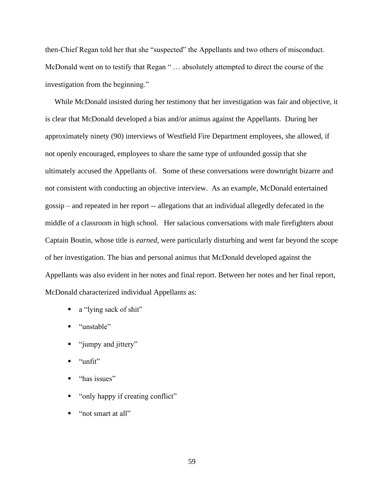then-Chief Regan told her that she "suspected" the Appellants and two others of misconduct. McDonald went on to testify that Regan " ... absolutely attempted to direct the course of the investigation from the beginning."

 While McDonald insisted during her testimony that her investigation was fair and objective, it is clear that McDonald developed a bias and/or animus against the Appellants. During her approximately ninety (90) interviews of Westfield Fire Department employees, she allowed, if not openly encouraged, employees to share the same type of unfounded gossip that she ultimately accused the Appellants of. Some of these conversations were downright bizarre and not consistent with conducting an objective interview. As an example, McDonald entertained gossip – and repeated in her report -- allegations that an individual allegedly defecated in the middle of a classroom in high school. Her salacious conversations with male firefighters about Captain Boutin, whose title is *earned*, were particularly disturbing and went far beyond the scope of her investigation. The bias and personal animus that McDonald developed against the Appellants was also evident in her notes and final report. Between her notes and her final report, McDonald characterized individual Appellants as:

- a "lying sack of shit"
- "unstable"
- "jumpy and jittery"
- "unfit"
- "has issues"
- "only happy if creating conflict"
- "not smart at all"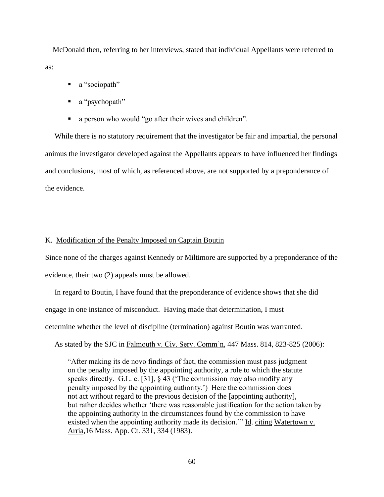McDonald then, referring to her interviews, stated that individual Appellants were referred to as:

- a "sociopath"
- $\blacksquare$  a "psychopath"
- a person who would "go after their wives and children".

 While there is no statutory requirement that the investigator be fair and impartial, the personal animus the investigator developed against the Appellants appears to have influenced her findings and conclusions, most of which, as referenced above, are not supported by a preponderance of the evidence.

#### K. Modification of the Penalty Imposed on Captain Boutin

Since none of the charges against Kennedy or Miltimore are supported by a preponderance of the evidence, their two (2) appeals must be allowed.

 In regard to Boutin, I have found that the preponderance of evidence shows that she did engage in one instance of misconduct. Having made that determination, I must determine whether the level of discipline (termination) against Boutin was warranted.

As stated by the SJC in Falmouth v. Civ. Serv. Comm'n, 447 Mass. 814, 823-825 (2006):

 "After making its de novo findings of fact, the commission must pass judgment on the penalty imposed by the appointing authority, a role to which the statute speaks directly. G.L. c. [31], § 43 ('The commission may also modify any penalty imposed by the appointing authority.') Here the commission does not act without regard to the previous decision of the [appointing authority], but rather decides whether 'there was reasonable justification for the action taken by the appointing authority in the circumstances found by the commission to have existed when the appointing authority made its decision.'" Id. citing Watertown v. Arria,16 Mass. App. Ct. 331, 334 (1983).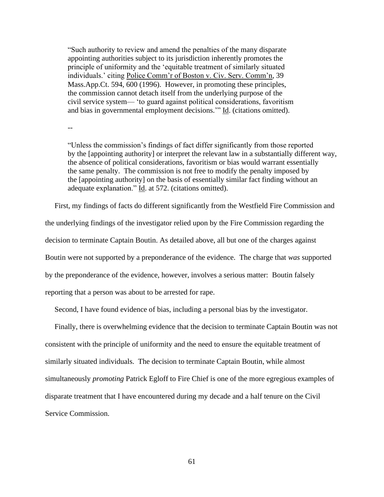"Such authority to review and amend the penalties of the many disparate appointing authorities subject to its jurisdiction inherently promotes the principle of uniformity and the 'equitable treatment of similarly situated individuals.' citing Police Comm'r of Boston v. Civ. Serv. Comm'n, 39 Mass.App.Ct. 594, 600 (1996). However, in promoting these principles, the commission cannot detach itself from the underlying purpose of the civil service system— 'to guard against political considerations, favoritism and bias in governmental employment decisions.'" Id. (citations omitted).

--

"Unless the commission's findings of fact differ significantly from those reported by the [appointing authority] or interpret the relevant law in a substantially different way, the absence of political considerations, favoritism or bias would warrant essentially the same penalty. The commission is not free to modify the penalty imposed by the [appointing authority] on the basis of essentially similar fact finding without an adequate explanation." Id. at 572. (citations omitted).

First, my findings of facts do different significantly from the Westfield Fire Commission and

the underlying findings of the investigator relied upon by the Fire Commission regarding the

decision to terminate Captain Boutin. As detailed above, all but one of the charges against

Boutin were not supported by a preponderance of the evidence. The charge that *was* supported

by the preponderance of the evidence, however, involves a serious matter: Boutin falsely

reporting that a person was about to be arrested for rape.

Second, I have found evidence of bias, including a personal bias by the investigator.

 Finally, there is overwhelming evidence that the decision to terminate Captain Boutin was not consistent with the principle of uniformity and the need to ensure the equitable treatment of similarly situated individuals. The decision to terminate Captain Boutin, while almost simultaneously *promoting* Patrick Egloff to Fire Chief is one of the more egregious examples of disparate treatment that I have encountered during my decade and a half tenure on the Civil Service Commission.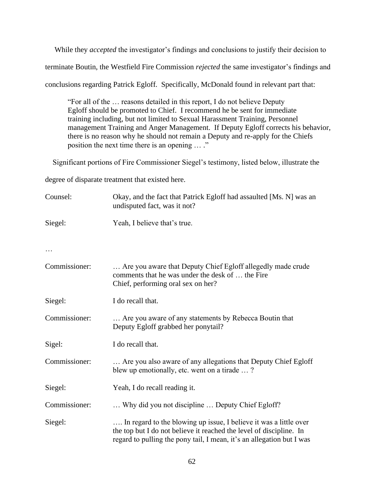While they *accepted* the investigator's findings and conclusions to justify their decision to

terminate Boutin, the Westfield Fire Commission *rejected* the same investigator's findings and

conclusions regarding Patrick Egloff. Specifically, McDonald found in relevant part that:

"For all of the … reasons detailed in this report, I do not believe Deputy Egloff should be promoted to Chief. I recommend he be sent for immediate training including, but not limited to Sexual Harassment Training, Personnel management Training and Anger Management. If Deputy Egloff corrects his behavior, there is no reason why he should not remain a Deputy and re-apply for the Chiefs position the next time there is an opening … ."

Significant portions of Fire Commissioner Siegel's testimony, listed below, illustrate the

degree of disparate treatment that existed here.

| Counsel:      | Okay, and the fact that Patrick Egloff had assaulted [Ms. N] was an<br>undisputed fact, was it not?                                                                                                               |
|---------------|-------------------------------------------------------------------------------------------------------------------------------------------------------------------------------------------------------------------|
| Siegel:       | Yeah, I believe that's true.                                                                                                                                                                                      |
|               |                                                                                                                                                                                                                   |
| Commissioner: | Are you aware that Deputy Chief Egloff allegedly made crude<br>comments that he was under the desk of  the Fire<br>Chief, performing oral sex on her?                                                             |
| Siegel:       | I do recall that.                                                                                                                                                                                                 |
| Commissioner: | Are you aware of any statements by Rebecca Boutin that<br>Deputy Egloff grabbed her ponytail?                                                                                                                     |
| Sigel:        | I do recall that.                                                                                                                                                                                                 |
| Commissioner: | Are you also aware of any allegations that Deputy Chief Egloff<br>blew up emotionally, etc. went on a tirade ?                                                                                                    |
| Siegel:       | Yeah, I do recall reading it.                                                                                                                                                                                     |
| Commissioner: | Why did you not discipline  Deputy Chief Egloff?                                                                                                                                                                  |
| Siegel:       | In regard to the blowing up issue, I believe it was a little over<br>the top but I do not believe it reached the level of discipline. In<br>regard to pulling the pony tail, I mean, it's an allegation but I was |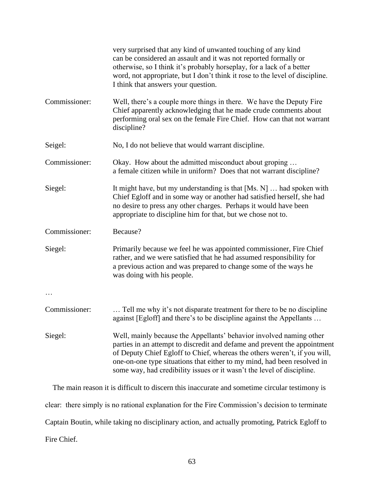|               | very surprised that any kind of unwanted touching of any kind<br>can be considered an assault and it was not reported formally or<br>otherwise, so I think it's probably horseplay, for a lack of a better<br>word, not appropriate, but I don't think it rose to the level of discipline.<br>I think that answers your question.                                                  |
|---------------|------------------------------------------------------------------------------------------------------------------------------------------------------------------------------------------------------------------------------------------------------------------------------------------------------------------------------------------------------------------------------------|
| Commissioner: | Well, there's a couple more things in there. We have the Deputy Fire<br>Chief apparently acknowledging that he made crude comments about<br>performing oral sex on the female Fire Chief. How can that not warrant<br>discipline?                                                                                                                                                  |
| Seigel:       | No, I do not believe that would warrant discipline.                                                                                                                                                                                                                                                                                                                                |
| Commissioner: | Okay. How about the admitted misconduct about groping<br>a female citizen while in uniform? Does that not warrant discipline?                                                                                                                                                                                                                                                      |
| Siegel:       | It might have, but my understanding is that $[Ms, N] \dots$ had spoken with<br>Chief Egloff and in some way or another had satisfied herself, she had<br>no desire to press any other charges. Perhaps it would have been<br>appropriate to discipline him for that, but we chose not to.                                                                                          |
| Commissioner: | Because?                                                                                                                                                                                                                                                                                                                                                                           |
| Siegel:       | Primarily because we feel he was appointed commissioner, Fire Chief<br>rather, and we were satisfied that he had assumed responsibility for<br>a previous action and was prepared to change some of the ways he<br>was doing with his people.                                                                                                                                      |
|               |                                                                                                                                                                                                                                                                                                                                                                                    |
| Commissioner: | Tell me why it's not disparate treatment for there to be no discipline<br>against [Egloff] and there's to be discipline against the Appellants                                                                                                                                                                                                                                     |
| Siegel:       | Well, mainly because the Appellants' behavior involved naming other<br>parties in an attempt to discredit and defame and prevent the appointment<br>of Deputy Chief Egloff to Chief, whereas the others weren't, if you will,<br>one-on-one type situations that either to my mind, had been resolved in<br>some way, had credibility issues or it wasn't the level of discipline. |
|               | ic difficult to discount his incogunate and comptime given for testimony is                                                                                                                                                                                                                                                                                                        |

 The main reason it is difficult to discern this inaccurate and sometime circular testimony is clear: there simply is no rational explanation for the Fire Commission's decision to terminate Captain Boutin, while taking no disciplinary action, and actually promoting, Patrick Egloff to Fire Chief.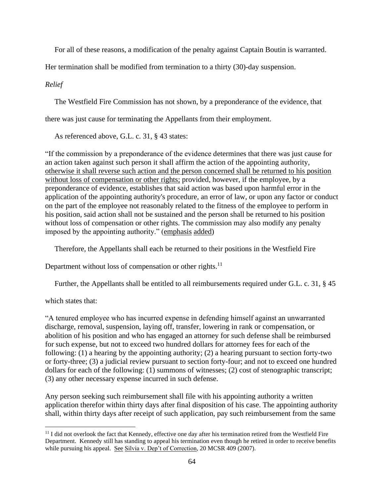For all of these reasons, a modification of the penalty against Captain Boutin is warranted.

Her termination shall be modified from termination to a thirty (30)-day suspension.

# *Relief*

The Westfield Fire Commission has not shown, by a preponderance of the evidence, that

there was just cause for terminating the Appellants from their employment.

As referenced above, G.L. c. 31, § 43 states:

"If the commission by a preponderance of the evidence determines that there was just cause for an action taken against such person it shall affirm the action of the appointing authority, otherwise it shall reverse such action and the person concerned shall be returned to his position without loss of compensation or other rights; provided, however, if the employee, by a preponderance of evidence, establishes that said action was based upon harmful error in the application of the appointing authority's procedure, an error of law, or upon any factor or conduct on the part of the employee not reasonably related to the fitness of the employee to perform in his position, said action shall not be sustained and the person shall be returned to his position without loss of compensation or other rights. The commission may also modify any penalty imposed by the appointing authority." (emphasis added)

Therefore, the Appellants shall each be returned to their positions in the Westfield Fire

Department without loss of compensation or other rights. $^{11}$ 

Further, the Appellants shall be entitled to all reimbursements required under G.L. c. 31, § 45

# which states that:

"A tenured employee who has incurred expense in defending himself against an unwarranted discharge, removal, suspension, laying off, transfer, lowering in rank or compensation, or abolition of his position and who has engaged an attorney for such defense shall be reimbursed for such expense, but not to exceed two hundred dollars for attorney fees for each of the following: (1) a hearing by the appointing authority; (2) a hearing pursuant to section forty-two or forty-three; (3) a judicial review pursuant to section forty-four; and not to exceed one hundred dollars for each of the following: (1) summons of witnesses; (2) cost of stenographic transcript; (3) any other necessary expense incurred in such defense.

Any person seeking such reimbursement shall file with his appointing authority a written application therefor within thirty days after final disposition of his case. The appointing authority shall, within thirty days after receipt of such application, pay such reimbursement from the same

<sup>&</sup>lt;sup>11</sup> I did not overlook the fact that Kennedy, effective one day after his termination retired from the Westfield Fire Department. Kennedy still has standing to appeal his termination even though he retired in order to receive benefits while pursuing his appeal. See Silvia v. Dep't of Correction, 20 MCSR 409 (2007).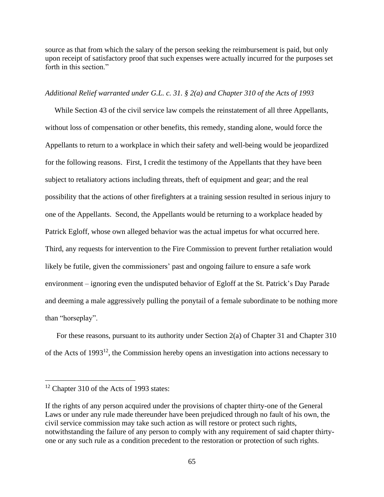source as that from which the salary of the person seeking the reimbursement is paid, but only upon receipt of satisfactory proof that such expenses were actually incurred for the purposes set forth in this section."

## *Additional Relief warranted under G.L. c. 31. § 2(a) and Chapter 310 of the Acts of 1993*

 While Section 43 of the civil service law compels the reinstatement of all three Appellants, without loss of compensation or other benefits, this remedy, standing alone, would force the Appellants to return to a workplace in which their safety and well-being would be jeopardized for the following reasons. First, I credit the testimony of the Appellants that they have been subject to retaliatory actions including threats, theft of equipment and gear; and the real possibility that the actions of other firefighters at a training session resulted in serious injury to one of the Appellants. Second, the Appellants would be returning to a workplace headed by Patrick Egloff, whose own alleged behavior was the actual impetus for what occurred here. Third, any requests for intervention to the Fire Commission to prevent further retaliation would likely be futile, given the commissioners' past and ongoing failure to ensure a safe work environment – ignoring even the undisputed behavior of Egloff at the St. Patrick's Day Parade and deeming a male aggressively pulling the ponytail of a female subordinate to be nothing more than "horseplay".

 For these reasons, pursuant to its authority under Section 2(a) of Chapter 31 and Chapter 310 of the Acts of 1993<sup>12</sup>, the Commission hereby opens an investigation into actions necessary to

<sup>&</sup>lt;sup>12</sup> Chapter 310 of the Acts of 1993 states:

If the rights of any person acquired under the provisions of chapter thirty-one of the General Laws or under any rule made thereunder have been prejudiced through no fault of his own, the civil service commission may take such action as will restore or protect such rights, notwithstanding the failure of any person to comply with any requirement of said chapter thirtyone or any such rule as a condition precedent to the restoration or protection of such rights.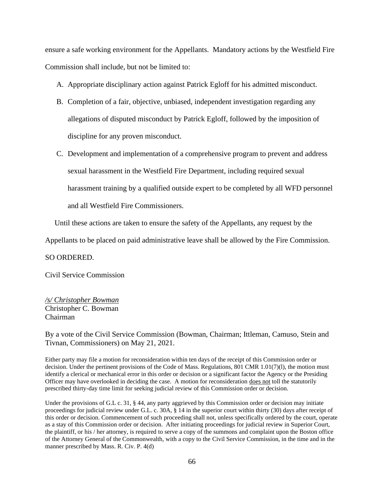ensure a safe working environment for the Appellants. Mandatory actions by the Westfield Fire Commission shall include, but not be limited to:

- A. Appropriate disciplinary action against Patrick Egloff for his admitted misconduct.
- B. Completion of a fair, objective, unbiased, independent investigation regarding any allegations of disputed misconduct by Patrick Egloff, followed by the imposition of discipline for any proven misconduct.
- C. Development and implementation of a comprehensive program to prevent and address sexual harassment in the Westfield Fire Department, including required sexual harassment training by a qualified outside expert to be completed by all WFD personnel and all Westfield Fire Commissioners.

Until these actions are taken to ensure the safety of the Appellants, any request by the

Appellants to be placed on paid administrative leave shall be allowed by the Fire Commission.

#### SO ORDERED.

Civil Service Commission

# */s/ Christopher Bowman* Christopher C. Bowman Chairman

By a vote of the Civil Service Commission (Bowman, Chairman; Ittleman, Camuso, Stein and Tivnan, Commissioners) on May 21, 2021.

Either party may file a motion for reconsideration within ten days of the receipt of this Commission order or decision. Under the pertinent provisions of the Code of Mass. Regulations, 801 CMR 1.01(7)(l), the motion must identify a clerical or mechanical error in this order or decision or a significant factor the Agency or the Presiding Officer may have overlooked in deciding the case. A motion for reconsideration does not toll the statutorily prescribed thirty-day time limit for seeking judicial review of this Commission order or decision.

Under the provisions of G.L c. 31, § 44, any party aggrieved by this Commission order or decision may initiate proceedings for judicial review under G.L. c. 30A, § 14 in the superior court within thirty (30) days after receipt of this order or decision. Commencement of such proceeding shall not, unless specifically ordered by the court, operate as a stay of this Commission order or decision. After initiating proceedings for judicial review in Superior Court, the plaintiff, or his / her attorney, is required to serve a copy of the summons and complaint upon the Boston office of the Attorney General of the Commonwealth, with a copy to the Civil Service Commission, in the time and in the manner prescribed by Mass. R. Civ. P. 4(d)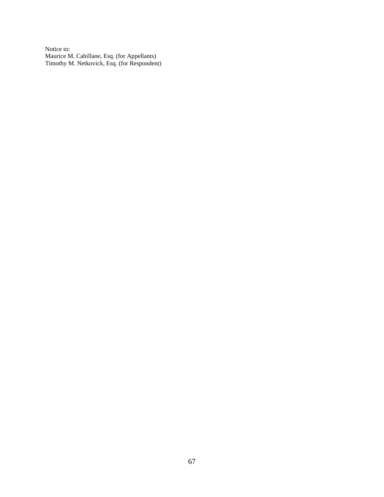Notice to: Maurice M. Cahillane, Esq. (for Appellants) Timothy M. Netkovick, Esq. (for Respondent)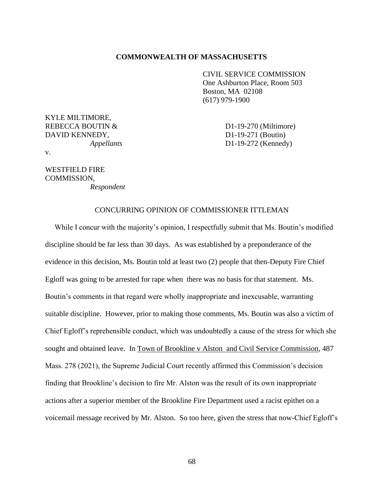#### **COMMONWEALTH OF MASSACHUSETTS**

CIVIL SERVICE COMMISSION One Ashburton Place, Room 503 Boston, MA 02108 (617) 979-1900

KYLE MILTIMORE, REBECCA BOUTIN & D1-19-270 (Miltimore) DAVID KENNEDY, D1-19-271 (Boutin)

*Appellants* D1-19-272 (Kennedy)

v.

# WESTFIELD FIRE COMMISSION,

*Respondent*

#### CONCURRING OPINION OF COMMISSIONER ITTLEMAN

 While I concur with the majority's opinion, I respectfully submit that Ms. Boutin's modified discipline should be far less than 30 days. As was established by a preponderance of the evidence in this decision, Ms. Boutin told at least two (2) people that then-Deputy Fire Chief Egloff was going to be arrested for rape when there was no basis for that statement. Ms. Boutin's comments in that regard were wholly inappropriate and inexcusable, warranting suitable discipline. However, prior to making those comments, Ms. Boutin was also a victim of Chief Egloff's reprehensible conduct, which was undoubtedly a cause of the stress for which she sought and obtained leave. In Town of Brookline v Alston and Civil Service Commission, 487 Mass. 278 (2021), the Supreme Judicial Court recently affirmed this Commission's decision finding that Brookline's decision to fire Mr. Alston was the result of its own inappropriate actions after a superior member of the Brookline Fire Department used a racist epithet on a voicemail message received by Mr. Alston. So too here, given the stress that now-Chief Egloff's